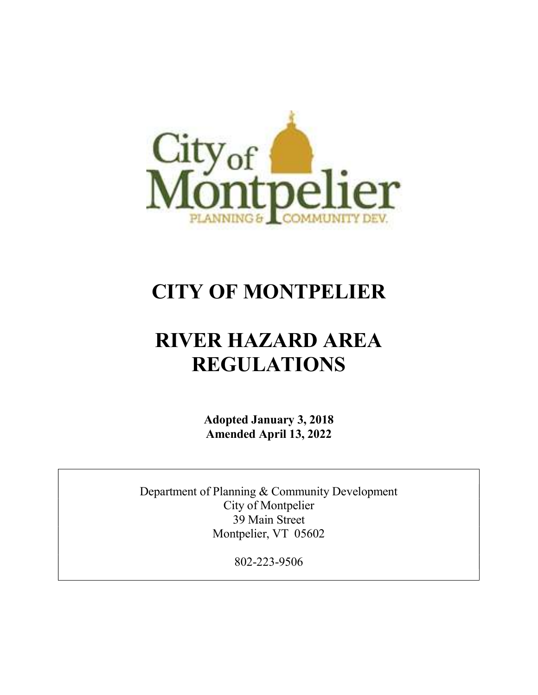

# CITY OF MONTPELIER

# RIVER HAZARD AREA REGULATIONS

Adopted January 3, 2018 Amended April 13, 2022

Department of Planning & Community Development City of Montpelier 39 Main Street Montpelier, VT 05602

802-223-9506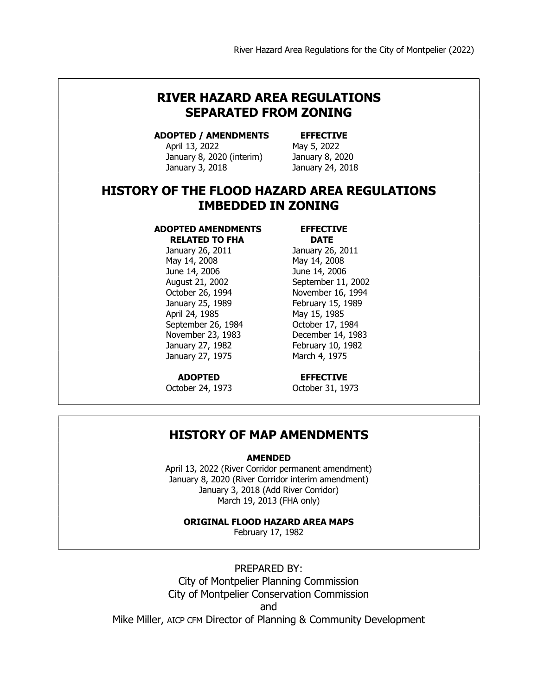# RIVER HAZARD AREA REGULATIONS SEPARATED FROM ZONING

#### ADOPTED / AMENDMENTS EFFECTIVE

 April 13, 2022 May 5, 2022 January 8, 2020 (interim) January 8, 2020 January 3, 2018 January 24, 2018

# HISTORY OF THE FLOOD HAZARD AREA REGULATIONS IMBEDDED IN ZONING

# ADOPTED AMENDMENTS EFFECTIVE

 January 26, 2011 January 26, 2011 May 14, 2008 May 14, 2008 June 14, 2006 June 14, 2006 August 21, 2002 September 11, 2002 October 26, 1994 November 16, 1994 January 25, 1989 February 15, 1989 April 24, 1985 May 15, 1985 September 26, 1984 October 17, 1984 November 23, 1983 December 14, 1983 January 27, 1982 February 10, 1982 January 27, 1975 March 4, 1975

October 24, 1973 October 31, 1973

# RELATED TO FHA DATE

#### ADOPTED EFFECTIVE

# HISTORY OF MAP AMENDMENTS

#### AMENDED

April 13, 2022 (River Corridor permanent amendment) January 8, 2020 (River Corridor interim amendment) January 3, 2018 (Add River Corridor) March 19, 2013 (FHA only)

#### ORIGINAL FLOOD HAZARD AREA MAPS

February 17, 1982

 PREPARED BY: City of Montpelier Planning Commission City of Montpelier Conservation Commission and Mike Miller, AICP CFM Director of Planning & Community Development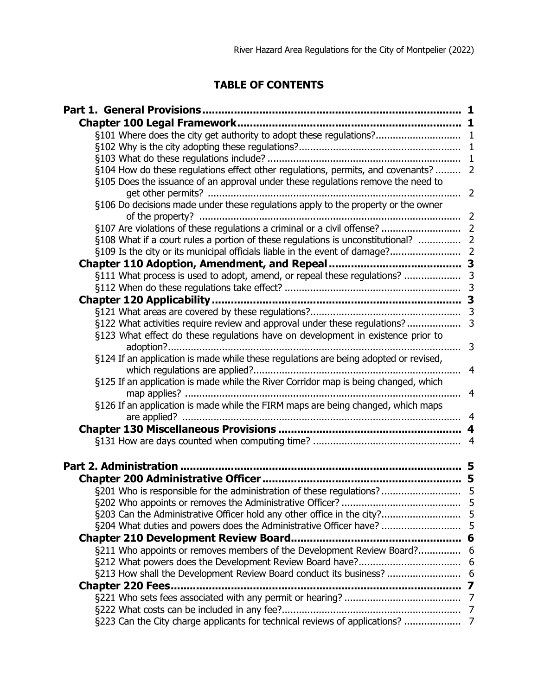# TABLE OF CONTENTS

|                                                                                      | -1             |
|--------------------------------------------------------------------------------------|----------------|
|                                                                                      |                |
|                                                                                      |                |
|                                                                                      |                |
|                                                                                      |                |
| §104 How do these regulations effect other regulations, permits, and covenants?  2   |                |
| §105 Does the issuance of an approval under these regulations remove the need to     |                |
| §106 Do decisions made under these regulations apply to the property or the owner    |                |
|                                                                                      |                |
| §108 What if a court rules a portion of these regulations is unconstitutional?  2    |                |
|                                                                                      |                |
|                                                                                      |                |
| §111 What process is used to adopt, amend, or repeal these regulations?              | $\overline{3}$ |
|                                                                                      | $\overline{3}$ |
|                                                                                      |                |
|                                                                                      |                |
| §122 What activities require review and approval under these regulations?            | $\overline{3}$ |
| §123 What effect do these regulations have on development in existence prior to      |                |
|                                                                                      | $\overline{3}$ |
| §124 If an application is made while these regulations are being adopted or revised, |                |
| which regulations are applied?                                                       |                |
| §125 If an application is made while the River Corridor map is being changed, which  |                |
| .                                                                                    | 4              |
| §126 If an application is made while the FIRM maps are being changed, which maps     |                |
|                                                                                      | -4             |
|                                                                                      |                |
|                                                                                      | $\overline{4}$ |
| Part 2. Administration                                                               |                |
|                                                                                      |                |
| §201 Who is responsible for the administration of these regulations? 5               |                |
|                                                                                      |                |
| §203 Can the Administrative Officer hold any other office in the city? 5             |                |
| §204 What duties and powers does the Administrative Officer have?  5                 |                |
|                                                                                      |                |
| §211 Who appoints or removes members of the Development Review Board? 6              |                |
|                                                                                      |                |
| §213 How shall the Development Review Board conduct its business?  6                 |                |
| <b>Chapter 220 Fees</b>                                                              |                |
|                                                                                      |                |
|                                                                                      |                |
| §223 Can the City charge applicants for technical reviews of applications?           |                |
|                                                                                      |                |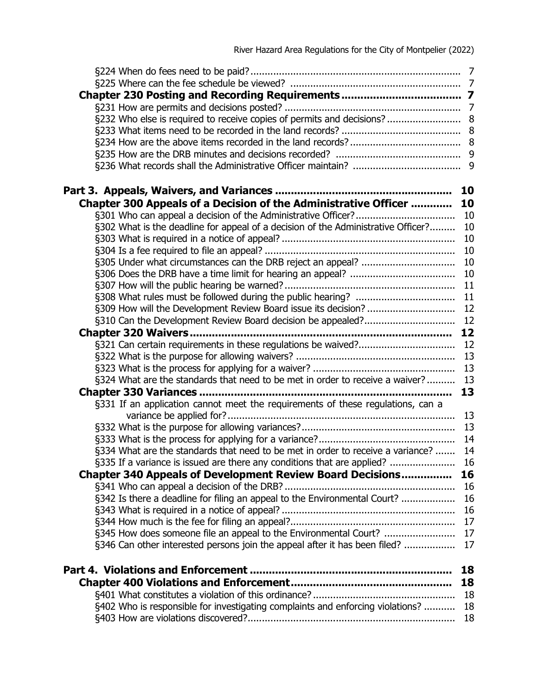| §232 Who else is required to receive copies of permits and decisions? 8              |          |
|--------------------------------------------------------------------------------------|----------|
|                                                                                      |          |
|                                                                                      |          |
|                                                                                      |          |
|                                                                                      |          |
|                                                                                      | 10       |
| Chapter 300 Appeals of a Decision of the Administrative Officer                      | 10       |
|                                                                                      | 10       |
| §302 What is the deadline for appeal of a decision of the Administrative Officer? 10 |          |
|                                                                                      | 10       |
|                                                                                      |          |
|                                                                                      | 10       |
|                                                                                      | 10       |
|                                                                                      | 10       |
|                                                                                      | 11       |
|                                                                                      | 11       |
|                                                                                      | 12       |
|                                                                                      | 12       |
|                                                                                      | 12       |
|                                                                                      | 12       |
|                                                                                      | 13       |
|                                                                                      | 13       |
| §324 What are the standards that need to be met in order to receive a waiver?        | -13      |
|                                                                                      | 13       |
| §331 If an application cannot meet the requirements of these regulations, can a      | 13       |
|                                                                                      |          |
|                                                                                      | 14       |
| §334 What are the standards that need to be met in order to receive a variance?      | 14       |
| §335 If a variance is issued are there any conditions that are applied?              | 16       |
| <b>Chapter 340 Appeals of Development Review Board Decisions</b>                     | 16       |
|                                                                                      | 16       |
| §342 Is there a deadline for filing an appeal to the Environmental Court?            | 16       |
|                                                                                      | 16       |
|                                                                                      | 17       |
| §345 How does someone file an appeal to the Environmental Court?                     | 17       |
| §346 Can other interested persons join the appeal after it has been filed?           | 17       |
|                                                                                      |          |
|                                                                                      | 18<br>18 |
|                                                                                      | 18       |
| §402 Who is responsible for investigating complaints and enforcing violations?       | 18       |
|                                                                                      | 18       |
|                                                                                      |          |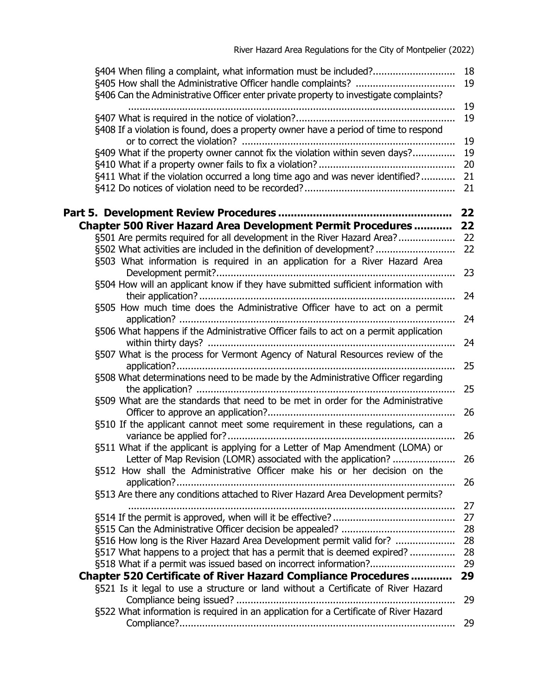| §404 When filing a complaint, what information must be included?<br>§406 Can the Administrative Officer enter private property to investigate complaints? | 18<br>19 |
|-----------------------------------------------------------------------------------------------------------------------------------------------------------|----------|
| §408 If a violation is found, does a property owner have a period of time to respond                                                                      | 19<br>19 |
| §409 What if the property owner cannot fix the violation within seven days?                                                                               | 19<br>19 |
| §411 What if the violation occurred a long time ago and was never identified?                                                                             | 20<br>21 |
|                                                                                                                                                           | 21       |
|                                                                                                                                                           | 22       |
| <b>Chapter 500 River Hazard Area Development Permit Procedures </b>                                                                                       | 22       |
| §501 Are permits required for all development in the River Hazard Area?                                                                                   | 22       |
| §502 What activities are included in the definition of development?                                                                                       | 22       |
| §503 What information is required in an application for a River Hazard Area                                                                               |          |
|                                                                                                                                                           | 23       |
| §504 How will an applicant know if they have submitted sufficient information with                                                                        |          |
|                                                                                                                                                           | 24       |
| §505 How much time does the Administrative Officer have to act on a permit                                                                                |          |
|                                                                                                                                                           | 24       |
| §506 What happens if the Administrative Officer fails to act on a permit application                                                                      |          |
|                                                                                                                                                           | 24       |
| §507 What is the process for Vermont Agency of Natural Resources review of the                                                                            |          |
|                                                                                                                                                           | 25       |
| §508 What determinations need to be made by the Administrative Officer regarding                                                                          |          |
|                                                                                                                                                           | 25       |
| §509 What are the standards that need to be met in order for the Administrative                                                                           |          |
| Officer to approve an application?                                                                                                                        | 26       |
| §510 If the applicant cannot meet some requirement in these regulations, can a                                                                            |          |
|                                                                                                                                                           | 26       |
| §511 What if the applicant is applying for a Letter of Map Amendment (LOMA) or                                                                            |          |
| Letter of Map Revision (LOMR) associated with the application?                                                                                            | 26       |
| §512 How shall the Administrative Officer make his or her decision on the                                                                                 |          |
|                                                                                                                                                           | 26       |
| §513 Are there any conditions attached to River Hazard Area Development permits?                                                                          |          |
|                                                                                                                                                           | 27       |
|                                                                                                                                                           | 27       |
|                                                                                                                                                           | 28       |
| §516 How long is the River Hazard Area Development permit valid for?                                                                                      | 28       |
| §517 What happens to a project that has a permit that is deemed expired?                                                                                  | 28       |
| §518 What if a permit was issued based on incorrect information?                                                                                          | 29       |
| <b>Chapter 520 Certificate of River Hazard Compliance Procedures </b>                                                                                     | 29       |
| §521 Is it legal to use a structure or land without a Certificate of River Hazard                                                                         |          |
| Compliance being issued?                                                                                                                                  | 29       |
| §522 What information is required in an application for a Certificate of River Hazard                                                                     |          |
|                                                                                                                                                           | 29       |
|                                                                                                                                                           |          |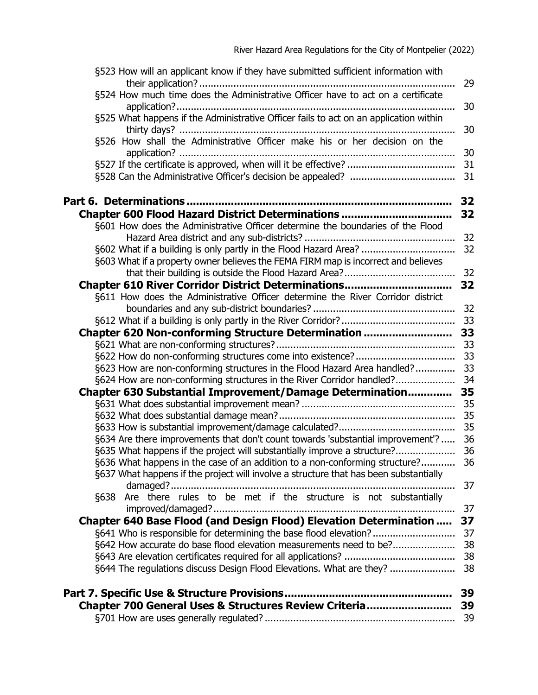| §523 How will an applicant know if they have submitted sufficient information with                | 29       |
|---------------------------------------------------------------------------------------------------|----------|
| §524 How much time does the Administrative Officer have to act on a certificate                   | 30       |
| §525 What happens if the Administrative Officer fails to act on an application within             |          |
| §526 How shall the Administrative Officer make his or her decision on the                         | 30       |
|                                                                                                   | 30       |
|                                                                                                   |          |
|                                                                                                   | 31       |
|                                                                                                   |          |
|                                                                                                   | 32       |
| §601 How does the Administrative Officer determine the boundaries of the Flood                    |          |
| §602 What if a building is only partly in the Flood Hazard Area?                                  | 32<br>32 |
| §603 What if a property owner believes the FEMA FIRM map is incorrect and believes                |          |
|                                                                                                   | 32       |
|                                                                                                   | 32       |
| §611 How does the Administrative Officer determine the River Corridor district                    |          |
|                                                                                                   |          |
| Chapter 620 Non-conforming Structure Determination                                                | 33       |
|                                                                                                   |          |
|                                                                                                   | 33       |
| §623 How are non-conforming structures in the Flood Hazard Area handled?                          | 33       |
| §624 How are non-conforming structures in the River Corridor handled?                             | - 34     |
| Chapter 630 Substantial Improvement/Damage Determination                                          | 35       |
|                                                                                                   |          |
|                                                                                                   |          |
| §634 Are there improvements that don't count towards 'substantial improvement'? 36                |          |
|                                                                                                   |          |
| §636 What happens in the case of an addition to a non-conforming structure?                       | 36       |
| §637 What happens if the project will involve a structure that has been substantially<br>damaged? | 37       |
| §638 Are there rules to be met if the structure is not substantially                              |          |
| improved/damaged?                                                                                 | 37       |
| Chapter 640 Base Flood (and Design Flood) Elevation Determination                                 | 37       |
| §641 Who is responsible for determining the base flood elevation?                                 | 37       |
|                                                                                                   | 38       |
| §644 The regulations discuss Design Flood Elevations. What are they?                              | 38       |
|                                                                                                   |          |
| Chapter 700 General Uses & Structures Review Criteria                                             | 39<br>39 |
|                                                                                                   | 39       |
|                                                                                                   |          |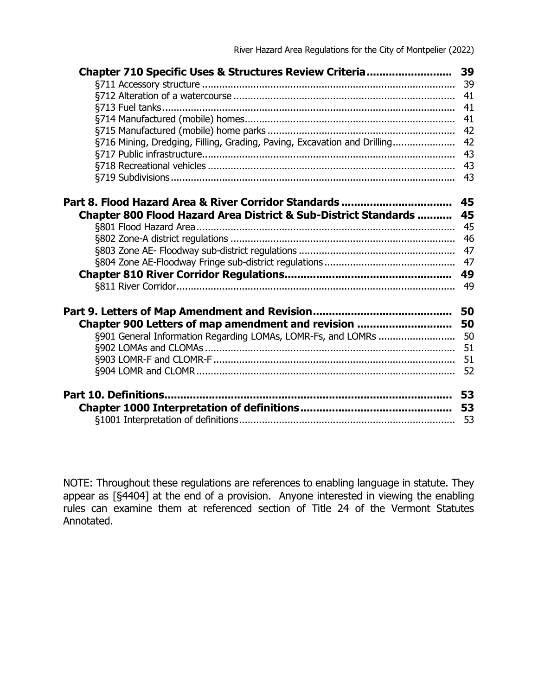| Chapter 710 Specific Uses & Structures Review Criteria                   | 39 |
|--------------------------------------------------------------------------|----|
|                                                                          | 39 |
|                                                                          | 41 |
|                                                                          | 41 |
|                                                                          | 41 |
|                                                                          | 42 |
| §716 Mining, Dredging, Filling, Grading, Paving, Excavation and Drilling | 42 |
|                                                                          | 43 |
|                                                                          | 43 |
|                                                                          | 43 |
|                                                                          | 45 |
| Chapter 800 Flood Hazard Area District & Sub-District Standards          | 45 |
|                                                                          | 45 |
|                                                                          | 46 |
|                                                                          | 47 |
|                                                                          | 47 |
|                                                                          | 49 |
|                                                                          | 49 |
|                                                                          | 50 |
| Chapter 900 Letters of map amendment and revision                        | 50 |
| §901 General Information Regarding LOMAs, LOMR-Fs, and LOMRs             | 50 |
|                                                                          | 51 |
|                                                                          | 51 |
|                                                                          | 52 |
|                                                                          | 53 |
|                                                                          | 53 |
|                                                                          | 53 |

NOTE: Throughout these regulations are references to enabling language in statute. They appear as [§4404] at the end of a provision. Anyone interested in viewing the enabling rules can examine them at referenced section of Title 24 of the Vermont Statutes Annotated.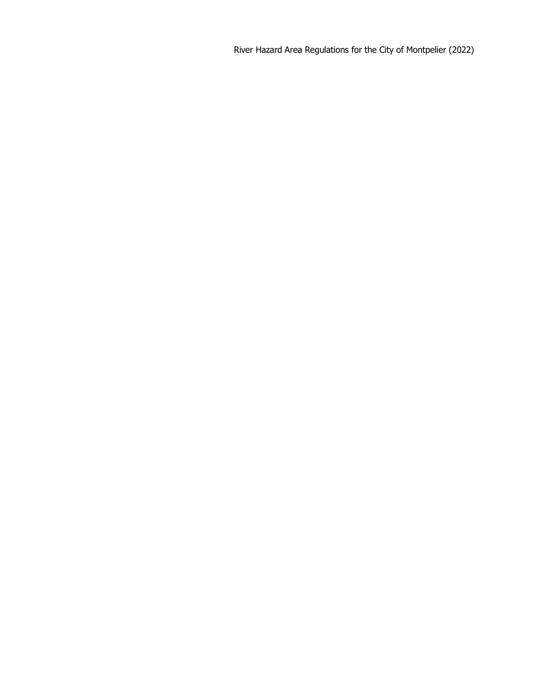River Hazard Area Regulations for the City of Montpelier (2022)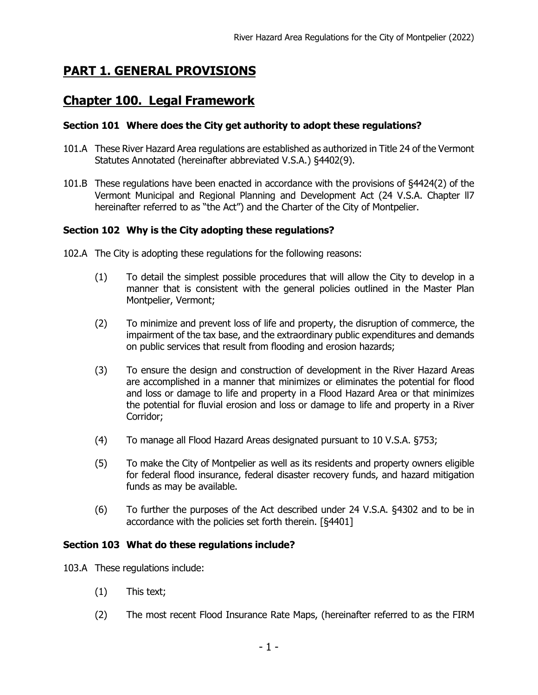# PART 1. GENERAL PROVISIONS

# Chapter 100. Legal Framework

# Section 101 Where does the City get authority to adopt these regulations?

- 101.A These River Hazard Area regulations are established as authorized in Title 24 of the Vermont Statutes Annotated (hereinafter abbreviated V.S.A.) §4402(9).
- 101.B These regulations have been enacted in accordance with the provisions of §4424(2) of the Vermont Municipal and Regional Planning and Development Act (24 V.S.A. Chapter ll7 hereinafter referred to as "the Act") and the Charter of the City of Montpelier.

# Section 102 Why is the City adopting these regulations?

- 102.A The City is adopting these regulations for the following reasons:
	- (1) To detail the simplest possible procedures that will allow the City to develop in a manner that is consistent with the general policies outlined in the Master Plan Montpelier, Vermont;
	- (2) To minimize and prevent loss of life and property, the disruption of commerce, the impairment of the tax base, and the extraordinary public expenditures and demands on public services that result from flooding and erosion hazards;
	- (3) To ensure the design and construction of development in the River Hazard Areas are accomplished in a manner that minimizes or eliminates the potential for flood and loss or damage to life and property in a Flood Hazard Area or that minimizes the potential for fluvial erosion and loss or damage to life and property in a River Corridor;
	- (4) To manage all Flood Hazard Areas designated pursuant to 10 V.S.A. §753;
	- (5) To make the City of Montpelier as well as its residents and property owners eligible for federal flood insurance, federal disaster recovery funds, and hazard mitigation funds as may be available.
	- (6) To further the purposes of the Act described under 24 V.S.A. §4302 and to be in accordance with the policies set forth therein. [§4401]

# Section 103 What do these regulations include?

103.A These regulations include:

- (1) This text;
- (2) The most recent Flood Insurance Rate Maps, (hereinafter referred to as the FIRM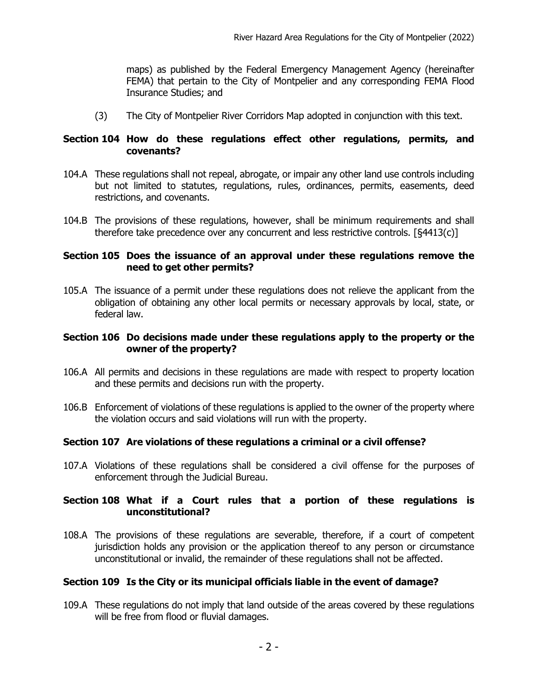maps) as published by the Federal Emergency Management Agency (hereinafter FEMA) that pertain to the City of Montpelier and any corresponding FEMA Flood Insurance Studies; and

(3) The City of Montpelier River Corridors Map adopted in conjunction with this text.

## Section 104 How do these regulations effect other regulations, permits, and covenants?

- 104.A These regulations shall not repeal, abrogate, or impair any other land use controls including but not limited to statutes, regulations, rules, ordinances, permits, easements, deed restrictions, and covenants.
- 104.B The provisions of these regulations, however, shall be minimum requirements and shall therefore take precedence over any concurrent and less restrictive controls. [§4413(c)]

## Section 105 Does the issuance of an approval under these regulations remove the need to get other permits?

105.A The issuance of a permit under these regulations does not relieve the applicant from the obligation of obtaining any other local permits or necessary approvals by local, state, or federal law.

#### Section 106 Do decisions made under these regulations apply to the property or the owner of the property?

- 106.A All permits and decisions in these regulations are made with respect to property location and these permits and decisions run with the property.
- 106.B Enforcement of violations of these regulations is applied to the owner of the property where the violation occurs and said violations will run with the property.

## Section 107 Are violations of these regulations a criminal or a civil offense?

107.A Violations of these regulations shall be considered a civil offense for the purposes of enforcement through the Judicial Bureau.

## Section 108 What if a Court rules that a portion of these regulations is unconstitutional?

108.A The provisions of these regulations are severable, therefore, if a court of competent jurisdiction holds any provision or the application thereof to any person or circumstance unconstitutional or invalid, the remainder of these regulations shall not be affected.

## Section 109 Is the City or its municipal officials liable in the event of damage?

109.A These regulations do not imply that land outside of the areas covered by these regulations will be free from flood or fluvial damages.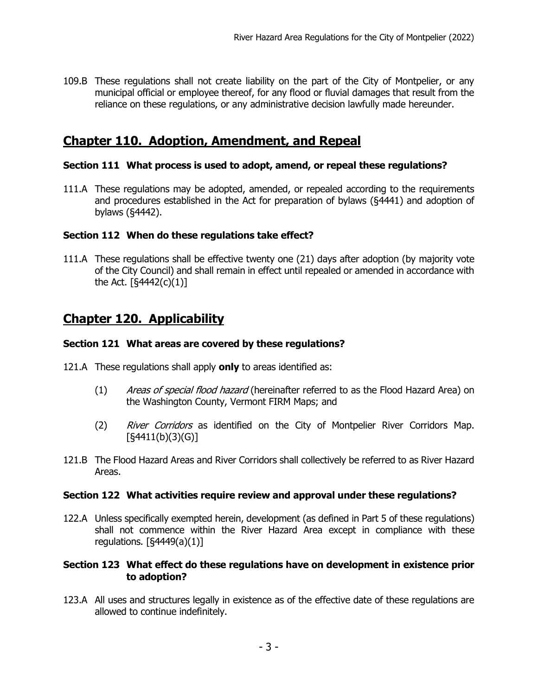109.B These regulations shall not create liability on the part of the City of Montpelier, or any municipal official or employee thereof, for any flood or fluvial damages that result from the reliance on these regulations, or any administrative decision lawfully made hereunder.

# Chapter 110. Adoption, Amendment, and Repeal

## Section 111 What process is used to adopt, amend, or repeal these regulations?

111.A These regulations may be adopted, amended, or repealed according to the requirements and procedures established in the Act for preparation of bylaws (§4441) and adoption of bylaws (§4442).

## Section 112 When do these regulations take effect?

111.A These regulations shall be effective twenty one (21) days after adoption (by majority vote of the City Council) and shall remain in effect until repealed or amended in accordance with the Act.  $[64442(c)(1)]$ 

# Chapter 120. Applicability

## Section 121 What areas are covered by these regulations?

- 121.A These regulations shall apply **only** to areas identified as:
	- (1) Areas of special flood hazard (hereinafter referred to as the Flood Hazard Area) on the Washington County, Vermont FIRM Maps; and
	- (2) River Corridors as identified on the City of Montpelier River Corridors Map. [§4411(b)(3)(G)]
- 121.B The Flood Hazard Areas and River Corridors shall collectively be referred to as River Hazard Areas.

## Section 122 What activities require review and approval under these regulations?

122.A Unless specifically exempted herein, development (as defined in Part 5 of these regulations) shall not commence within the River Hazard Area except in compliance with these regulations. [§4449(a)(1)]

## Section 123 What effect do these regulations have on development in existence prior to adoption?

123.A All uses and structures legally in existence as of the effective date of these regulations are allowed to continue indefinitely.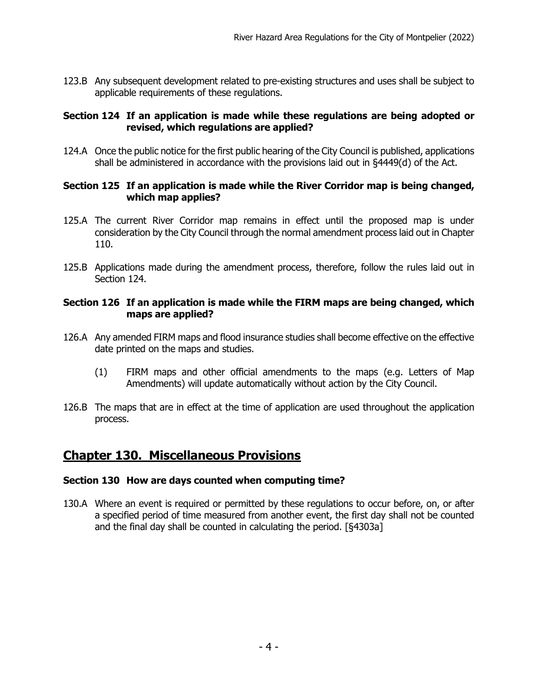123.B Any subsequent development related to pre-existing structures and uses shall be subject to applicable requirements of these regulations.

## Section 124 If an application is made while these regulations are being adopted or revised, which regulations are applied?

124.A Once the public notice for the first public hearing of the City Council is published, applications shall be administered in accordance with the provisions laid out in §4449(d) of the Act.

## Section 125 If an application is made while the River Corridor map is being changed, which map applies?

- 125.A The current River Corridor map remains in effect until the proposed map is under consideration by the City Council through the normal amendment process laid out in Chapter 110.
- 125.B Applications made during the amendment process, therefore, follow the rules laid out in Section 124.

## Section 126 If an application is made while the FIRM maps are being changed, which maps are applied?

- 126.A Any amended FIRM maps and flood insurance studies shall become effective on the effective date printed on the maps and studies.
	- (1) FIRM maps and other official amendments to the maps (e.g. Letters of Map Amendments) will update automatically without action by the City Council.
- 126.B The maps that are in effect at the time of application are used throughout the application process.

# Chapter 130. Miscellaneous Provisions

## Section 130 How are days counted when computing time?

130.A Where an event is required or permitted by these regulations to occur before, on, or after a specified period of time measured from another event, the first day shall not be counted and the final day shall be counted in calculating the period. [§4303a]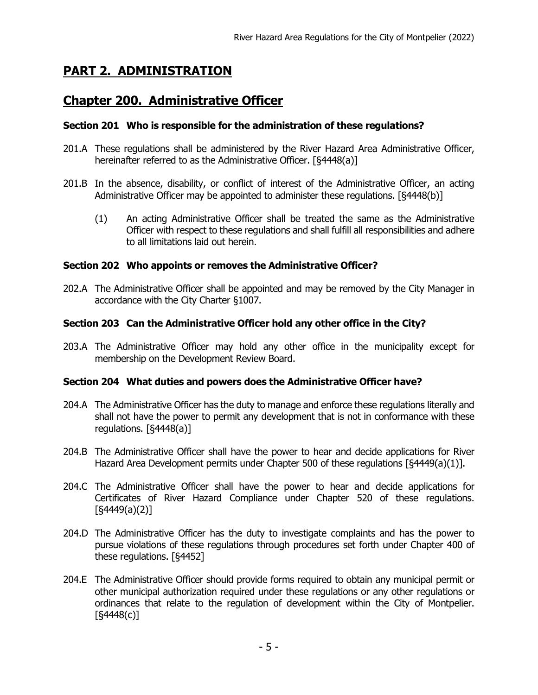# PART 2. ADMINISTRATION

# Chapter 200. Administrative Officer

## Section 201 Who is responsible for the administration of these regulations?

- 201.A These regulations shall be administered by the River Hazard Area Administrative Officer, hereinafter referred to as the Administrative Officer. [§4448(a)]
- 201.B In the absence, disability, or conflict of interest of the Administrative Officer, an acting Administrative Officer may be appointed to administer these regulations. [§4448(b)]
	- (1) An acting Administrative Officer shall be treated the same as the Administrative Officer with respect to these regulations and shall fulfill all responsibilities and adhere to all limitations laid out herein.

## Section 202 Who appoints or removes the Administrative Officer?

202.A The Administrative Officer shall be appointed and may be removed by the City Manager in accordance with the City Charter §1007.

## Section 203 Can the Administrative Officer hold any other office in the City?

203.A The Administrative Officer may hold any other office in the municipality except for membership on the Development Review Board.

## Section 204 What duties and powers does the Administrative Officer have?

- 204.A The Administrative Officer has the duty to manage and enforce these regulations literally and shall not have the power to permit any development that is not in conformance with these regulations. [§4448(a)]
- 204.B The Administrative Officer shall have the power to hear and decide applications for River Hazard Area Development permits under Chapter 500 of these regulations [§4449(a)(1)].
- 204.C The Administrative Officer shall have the power to hear and decide applications for Certificates of River Hazard Compliance under Chapter 520 of these regulations.  $[§4449(a)(2)]$
- 204.D The Administrative Officer has the duty to investigate complaints and has the power to pursue violations of these regulations through procedures set forth under Chapter 400 of these regulations. [§4452]
- 204.E The Administrative Officer should provide forms required to obtain any municipal permit or other municipal authorization required under these regulations or any other regulations or ordinances that relate to the regulation of development within the City of Montpelier. [§4448(c)]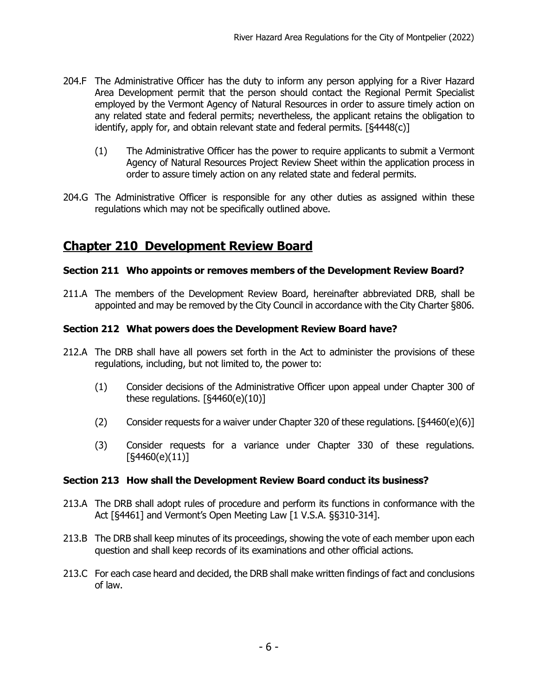- 204.F The Administrative Officer has the duty to inform any person applying for a River Hazard Area Development permit that the person should contact the Regional Permit Specialist employed by the Vermont Agency of Natural Resources in order to assure timely action on any related state and federal permits; nevertheless, the applicant retains the obligation to identify, apply for, and obtain relevant state and federal permits. [§4448(c)]
	- (1) The Administrative Officer has the power to require applicants to submit a Vermont Agency of Natural Resources Project Review Sheet within the application process in order to assure timely action on any related state and federal permits.
- 204.G The Administrative Officer is responsible for any other duties as assigned within these regulations which may not be specifically outlined above.

# Chapter 210 Development Review Board

## Section 211 Who appoints or removes members of the Development Review Board?

211.A The members of the Development Review Board, hereinafter abbreviated DRB, shall be appointed and may be removed by the City Council in accordance with the City Charter §806.

## Section 212 What powers does the Development Review Board have?

- 212.A The DRB shall have all powers set forth in the Act to administer the provisions of these regulations, including, but not limited to, the power to:
	- (1) Consider decisions of the Administrative Officer upon appeal under Chapter 300 of these regulations. [§4460(e)(10)]
	- (2) Consider requests for a waiver under Chapter 320 of these regulations. [§4460(e)(6)]
	- (3) Consider requests for a variance under Chapter 330 of these regulations. [§4460(e)(11)]

## Section 213 How shall the Development Review Board conduct its business?

- 213.A The DRB shall adopt rules of procedure and perform its functions in conformance with the Act [§4461] and Vermont's Open Meeting Law [1 V.S.A. §§310-314].
- 213.B The DRB shall keep minutes of its proceedings, showing the vote of each member upon each question and shall keep records of its examinations and other official actions.
- 213.C For each case heard and decided, the DRB shall make written findings of fact and conclusions of law.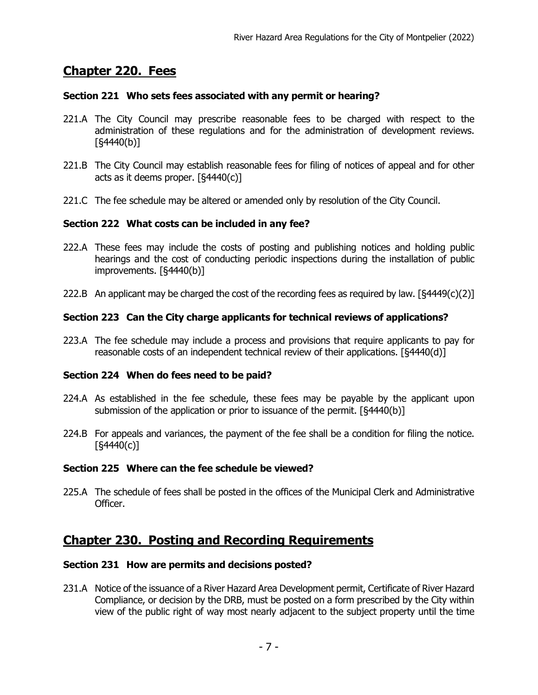# Chapter 220. Fees

## Section 221 Who sets fees associated with any permit or hearing?

- 221.A The City Council may prescribe reasonable fees to be charged with respect to the administration of these regulations and for the administration of development reviews. [§4440(b)]
- 221.B The City Council may establish reasonable fees for filing of notices of appeal and for other acts as it deems proper.  $[§4440(c)]$
- 221.C The fee schedule may be altered or amended only by resolution of the City Council.

## Section 222 What costs can be included in any fee?

- 222.A These fees may include the costs of posting and publishing notices and holding public hearings and the cost of conducting periodic inspections during the installation of public improvements. [§4440(b)]
- 222.B An applicant may be charged the cost of the recording fees as required by law.  $[§4449(c)(2)]$

## Section 223 Can the City charge applicants for technical reviews of applications?

223.A The fee schedule may include a process and provisions that require applicants to pay for reasonable costs of an independent technical review of their applications. [§4440(d)]

#### Section 224 When do fees need to be paid?

- 224.A As established in the fee schedule, these fees may be payable by the applicant upon submission of the application or prior to issuance of the permit. [§4440(b)]
- 224.B For appeals and variances, the payment of the fee shall be a condition for filing the notice. [§4440(c)]

#### Section 225 Where can the fee schedule be viewed?

225.A The schedule of fees shall be posted in the offices of the Municipal Clerk and Administrative Officer.

# Chapter 230. Posting and Recording Requirements

#### Section 231 How are permits and decisions posted?

231.A Notice of the issuance of a River Hazard Area Development permit, Certificate of River Hazard Compliance, or decision by the DRB, must be posted on a form prescribed by the City within view of the public right of way most nearly adjacent to the subject property until the time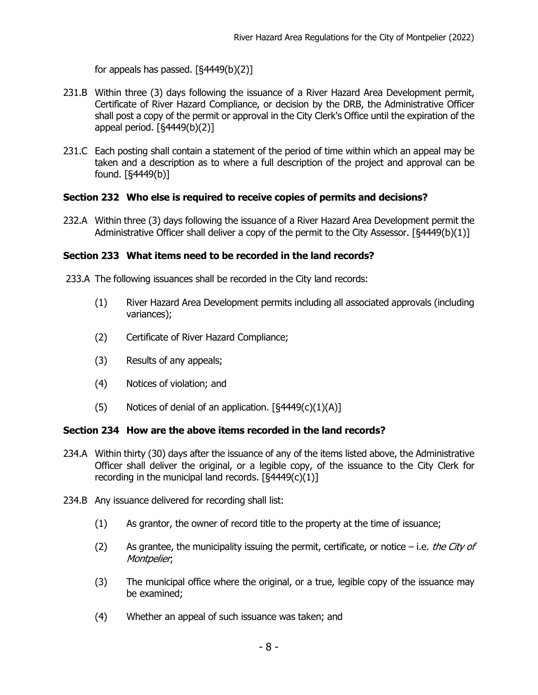for appeals has passed.  $[§4449(b)(2)]$ 

- 231.B Within three (3) days following the issuance of a River Hazard Area Development permit, Certificate of River Hazard Compliance, or decision by the DRB, the Administrative Officer shall post a copy of the permit or approval in the City Clerk's Office until the expiration of the appeal period. [§4449(b)(2)]
- 231.C Each posting shall contain a statement of the period of time within which an appeal may be taken and a description as to where a full description of the project and approval can be found. [§4449(b)]

## Section 232 Who else is required to receive copies of permits and decisions?

232.A Within three (3) days following the issuance of a River Hazard Area Development permit the Administrative Officer shall deliver a copy of the permit to the City Assessor. [§4449(b)(1)]

## Section 233 What items need to be recorded in the land records?

233.A The following issuances shall be recorded in the City land records:

- (1) River Hazard Area Development permits including all associated approvals (including variances);
- (2) Certificate of River Hazard Compliance;
- (3) Results of any appeals;
- (4) Notices of violation; and
- (5) Notices of denial of an application.  $[§4449(c)(1)(A)]$

## Section 234 How are the above items recorded in the land records?

- 234.A Within thirty (30) days after the issuance of any of the items listed above, the Administrative Officer shall deliver the original, or a legible copy, of the issuance to the City Clerk for recording in the municipal land records.  $[64449(c)(1)]$
- 234.B Any issuance delivered for recording shall list:
	- (1) As grantor, the owner of record title to the property at the time of issuance;
	- (2) As grantee, the municipality issuing the permit, certificate, or notice  $-$  i.e. the City of Montpelier;
	- (3) The municipal office where the original, or a true, legible copy of the issuance may be examined;
	- (4) Whether an appeal of such issuance was taken; and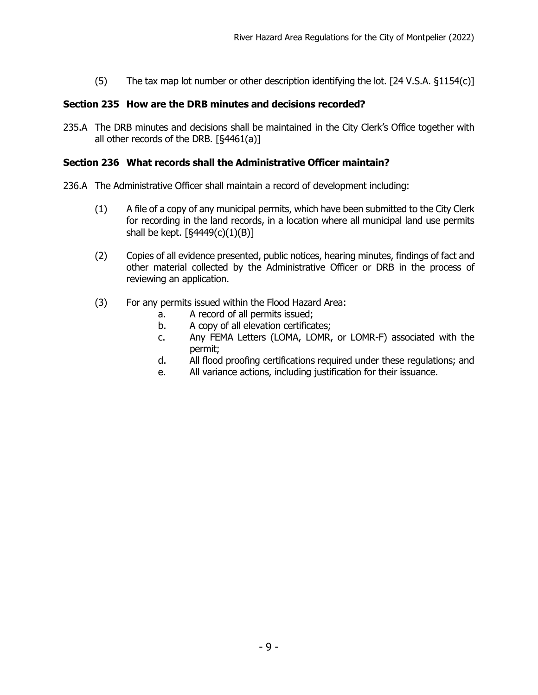(5) The tax map lot number or other description identifying the lot. [24 V.S.A. §1154(c)]

## Section 235 How are the DRB minutes and decisions recorded?

235.A The DRB minutes and decisions shall be maintained in the City Clerk's Office together with all other records of the DRB. [§4461(a)]

## Section 236 What records shall the Administrative Officer maintain?

- 236.A The Administrative Officer shall maintain a record of development including:
	- (1) A file of a copy of any municipal permits, which have been submitted to the City Clerk for recording in the land records, in a location where all municipal land use permits shall be kept. [§4449(c)(1)(B)]
	- (2) Copies of all evidence presented, public notices, hearing minutes, findings of fact and other material collected by the Administrative Officer or DRB in the process of reviewing an application.
	- (3) For any permits issued within the Flood Hazard Area:
		- a. A record of all permits issued;
		- b. A copy of all elevation certificates;
		- c. Any FEMA Letters (LOMA, LOMR, or LOMR-F) associated with the permit;
		- d. All flood proofing certifications required under these regulations; and
		- e. All variance actions, including justification for their issuance.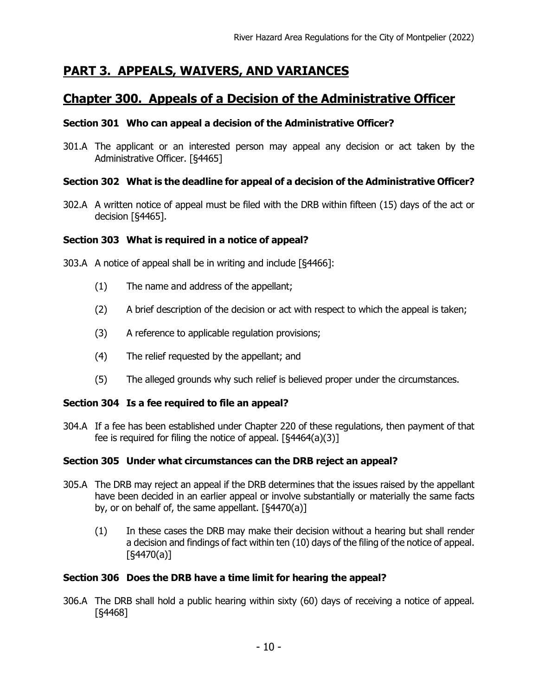# PART 3. APPEALS, WAIVERS, AND VARIANCES

# Chapter 300. Appeals of a Decision of the Administrative Officer

# Section 301 Who can appeal a decision of the Administrative Officer?

301.A The applicant or an interested person may appeal any decision or act taken by the Administrative Officer. [§4465]

# Section 302 What is the deadline for appeal of a decision of the Administrative Officer?

302.A A written notice of appeal must be filed with the DRB within fifteen (15) days of the act or decision [§4465].

# Section 303 What is required in a notice of appeal?

303.A A notice of appeal shall be in writing and include [§4466]:

- (1) The name and address of the appellant;
- (2) A brief description of the decision or act with respect to which the appeal is taken;
- (3) A reference to applicable regulation provisions;
- (4) The relief requested by the appellant; and
- (5) The alleged grounds why such relief is believed proper under the circumstances.

# Section 304 Is a fee required to file an appeal?

304.A If a fee has been established under Chapter 220 of these regulations, then payment of that fee is required for filing the notice of appeal. [§4464(a)(3)]

# Section 305 Under what circumstances can the DRB reject an appeal?

- 305.A The DRB may reject an appeal if the DRB determines that the issues raised by the appellant have been decided in an earlier appeal or involve substantially or materially the same facts by, or on behalf of, the same appellant. [§4470(a)]
	- (1) In these cases the DRB may make their decision without a hearing but shall render a decision and findings of fact within ten (10) days of the filing of the notice of appeal. [§4470(a)]

# Section 306 Does the DRB have a time limit for hearing the appeal?

306.A The DRB shall hold a public hearing within sixty (60) days of receiving a notice of appeal. [§4468]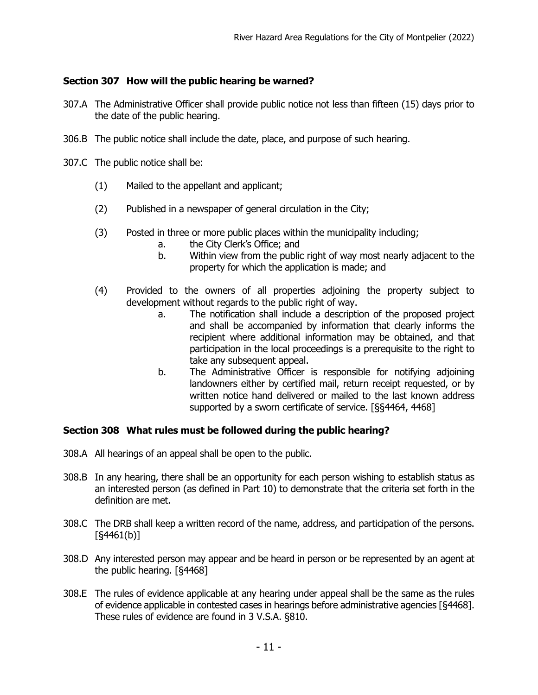## Section 307 How will the public hearing be warned?

- 307.A The Administrative Officer shall provide public notice not less than fifteen (15) days prior to the date of the public hearing.
- 306.B The public notice shall include the date, place, and purpose of such hearing.
- 307.C The public notice shall be:
	- (1) Mailed to the appellant and applicant;
	- (2) Published in a newspaper of general circulation in the City;
	- (3) Posted in three or more public places within the municipality including;
		- a. the City Clerk's Office; and
		- b. Within view from the public right of way most nearly adjacent to the property for which the application is made; and
	- (4) Provided to the owners of all properties adjoining the property subject to development without regards to the public right of way.
		- a. The notification shall include a description of the proposed project and shall be accompanied by information that clearly informs the recipient where additional information may be obtained, and that participation in the local proceedings is a prerequisite to the right to take any subsequent appeal.
		- b. The Administrative Officer is responsible for notifying adjoining landowners either by certified mail, return receipt requested, or by written notice hand delivered or mailed to the last known address supported by a sworn certificate of service. [§§4464, 4468]

## Section 308 What rules must be followed during the public hearing?

- 308.A All hearings of an appeal shall be open to the public.
- 308.B In any hearing, there shall be an opportunity for each person wishing to establish status as an interested person (as defined in Part 10) to demonstrate that the criteria set forth in the definition are met.
- 308.C The DRB shall keep a written record of the name, address, and participation of the persons. [§4461(b)]
- 308.D Any interested person may appear and be heard in person or be represented by an agent at the public hearing. [§4468]
- 308.E The rules of evidence applicable at any hearing under appeal shall be the same as the rules of evidence applicable in contested cases in hearings before administrative agencies [§4468]. These rules of evidence are found in 3 V.S.A. §810.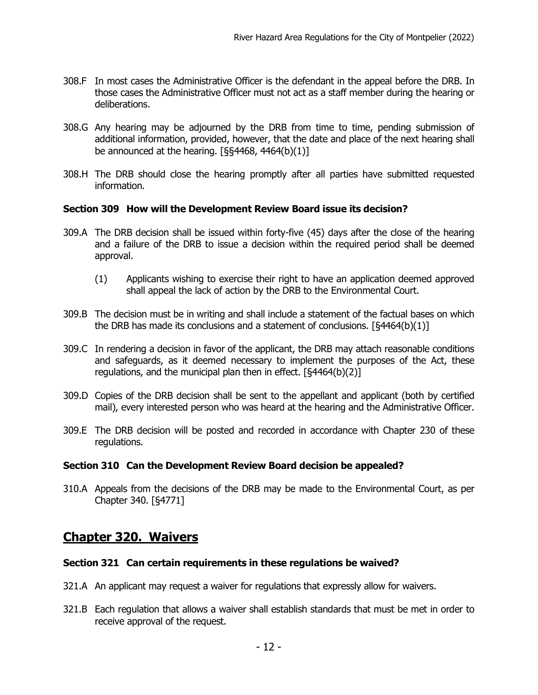- 308.F In most cases the Administrative Officer is the defendant in the appeal before the DRB. In those cases the Administrative Officer must not act as a staff member during the hearing or deliberations.
- 308.G Any hearing may be adjourned by the DRB from time to time, pending submission of additional information, provided, however, that the date and place of the next hearing shall be announced at the hearing.  $[§§4468, 4464(b)(1)]$
- 308.H The DRB should close the hearing promptly after all parties have submitted requested information.

## Section 309 How will the Development Review Board issue its decision?

- 309.A The DRB decision shall be issued within forty-five (45) days after the close of the hearing and a failure of the DRB to issue a decision within the required period shall be deemed approval.
	- (1) Applicants wishing to exercise their right to have an application deemed approved shall appeal the lack of action by the DRB to the Environmental Court.
- 309.B The decision must be in writing and shall include a statement of the factual bases on which the DRB has made its conclusions and a statement of conclusions.  $[64464(b)(1)]$
- 309.C In rendering a decision in favor of the applicant, the DRB may attach reasonable conditions and safeguards, as it deemed necessary to implement the purposes of the Act, these regulations, and the municipal plan then in effect. [§4464(b)(2)]
- 309.D Copies of the DRB decision shall be sent to the appellant and applicant (both by certified mail), every interested person who was heard at the hearing and the Administrative Officer.
- 309.E The DRB decision will be posted and recorded in accordance with Chapter 230 of these regulations.

## Section 310 Can the Development Review Board decision be appealed?

310.A Appeals from the decisions of the DRB may be made to the Environmental Court, as per Chapter 340. [§4771]

# Chapter 320. Waivers

## Section 321 Can certain requirements in these regulations be waived?

- 321.A An applicant may request a waiver for regulations that expressly allow for waivers.
- 321.B Each regulation that allows a waiver shall establish standards that must be met in order to receive approval of the request.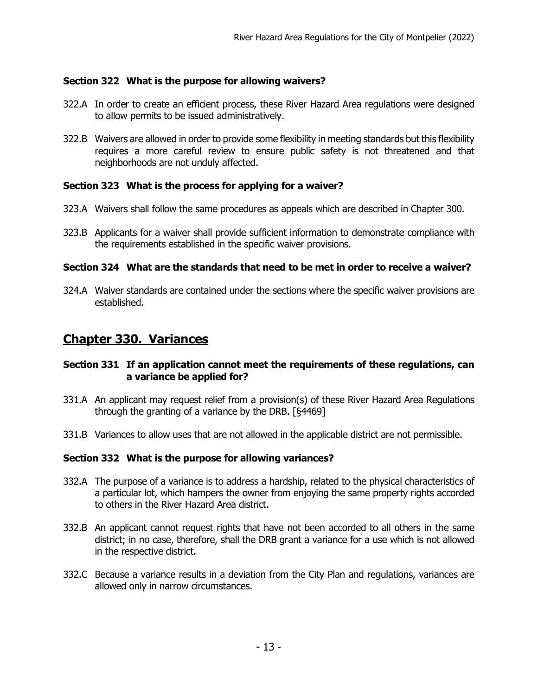## Section 322 What is the purpose for allowing waivers?

- 322.A In order to create an efficient process, these River Hazard Area regulations were designed to allow permits to be issued administratively.
- 322.B Waivers are allowed in order to provide some flexibility in meeting standards but this flexibility requires a more careful review to ensure public safety is not threatened and that neighborhoods are not unduly affected.

## Section 323 What is the process for applying for a waiver?

- 323.A Waivers shall follow the same procedures as appeals which are described in Chapter 300.
- 323.B Applicants for a waiver shall provide sufficient information to demonstrate compliance with the requirements established in the specific waiver provisions.

# Section 324 What are the standards that need to be met in order to receive a waiver?

324.A Waiver standards are contained under the sections where the specific waiver provisions are established.

# Chapter 330. Variances

## Section 331 If an application cannot meet the requirements of these regulations, can a variance be applied for?

- 331.A An applicant may request relief from a provision(s) of these River Hazard Area Regulations through the granting of a variance by the DRB. [§4469]
- 331.B Variances to allow uses that are not allowed in the applicable district are not permissible.

## Section 332 What is the purpose for allowing variances?

- 332.A The purpose of a variance is to address a hardship, related to the physical characteristics of a particular lot, which hampers the owner from enjoying the same property rights accorded to others in the River Hazard Area district.
- 332.B An applicant cannot request rights that have not been accorded to all others in the same district; in no case, therefore, shall the DRB grant a variance for a use which is not allowed in the respective district.
- 332.C Because a variance results in a deviation from the City Plan and regulations, variances are allowed only in narrow circumstances.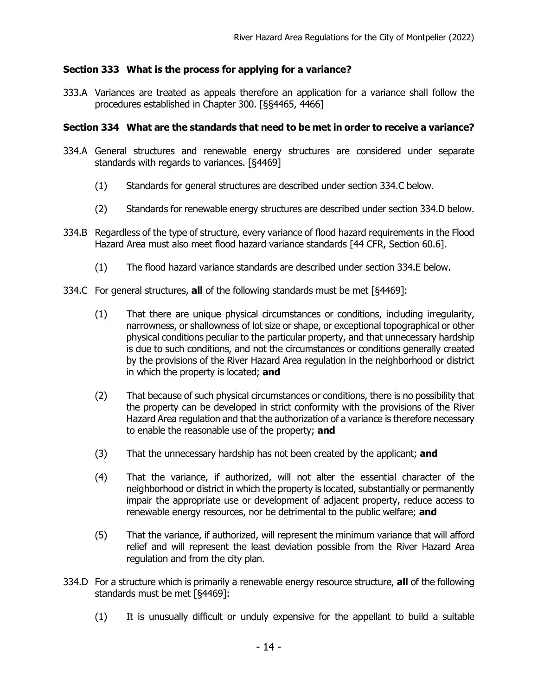## Section 333 What is the process for applying for a variance?

333.A Variances are treated as appeals therefore an application for a variance shall follow the procedures established in Chapter 300. [§§4465, 4466]

## Section 334 What are the standards that need to be met in order to receive a variance?

- 334.A General structures and renewable energy structures are considered under separate standards with regards to variances. [§4469]
	- (1) Standards for general structures are described under section 334.C below.
	- (2) Standards for renewable energy structures are described under section 334.D below.
- 334.B Regardless of the type of structure, every variance of flood hazard requirements in the Flood Hazard Area must also meet flood hazard variance standards [44 CFR, Section 60.6].
	- (1) The flood hazard variance standards are described under section 334.E below.
- 334.C For general structures, all of the following standards must be met  $[84469]$ :
	- (1) That there are unique physical circumstances or conditions, including irregularity, narrowness, or shallowness of lot size or shape, or exceptional topographical or other physical conditions peculiar to the particular property, and that unnecessary hardship is due to such conditions, and not the circumstances or conditions generally created by the provisions of the River Hazard Area regulation in the neighborhood or district in which the property is located; and
	- (2) That because of such physical circumstances or conditions, there is no possibility that the property can be developed in strict conformity with the provisions of the River Hazard Area regulation and that the authorization of a variance is therefore necessary to enable the reasonable use of the property; and
	- $(3)$  That the unnecessary hardship has not been created by the applicant; and
	- (4) That the variance, if authorized, will not alter the essential character of the neighborhood or district in which the property is located, substantially or permanently impair the appropriate use or development of adjacent property, reduce access to renewable energy resources, nor be detrimental to the public welfare; and
	- (5) That the variance, if authorized, will represent the minimum variance that will afford relief and will represent the least deviation possible from the River Hazard Area regulation and from the city plan.
- 334.D For a structure which is primarily a renewable energy resource structure, all of the following standards must be met [§4469]:
	- (1) It is unusually difficult or unduly expensive for the appellant to build a suitable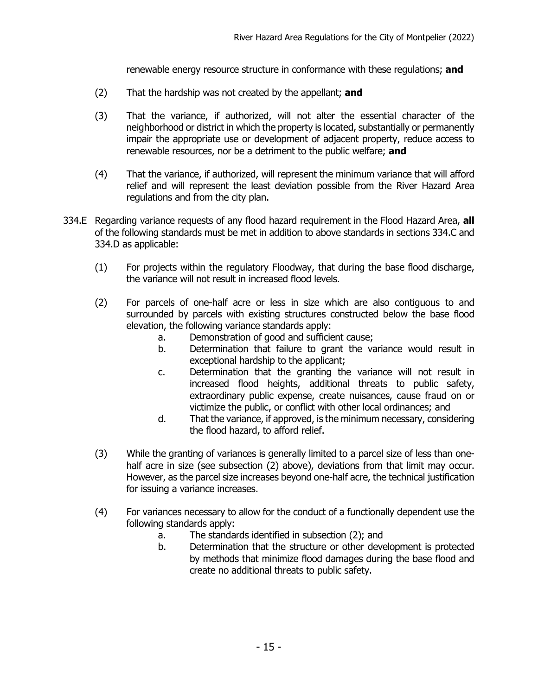renewable energy resource structure in conformance with these regulations; and

- $(2)$  That the hardship was not created by the appellant; and
- (3) That the variance, if authorized, will not alter the essential character of the neighborhood or district in which the property is located, substantially or permanently impair the appropriate use or development of adjacent property, reduce access to renewable resources, nor be a detriment to the public welfare; and
- (4) That the variance, if authorized, will represent the minimum variance that will afford relief and will represent the least deviation possible from the River Hazard Area regulations and from the city plan.
- 334.E Regarding variance requests of any flood hazard requirement in the Flood Hazard Area, all of the following standards must be met in addition to above standards in sections 334.C and 334.D as applicable:
	- (1) For projects within the regulatory Floodway, that during the base flood discharge, the variance will not result in increased flood levels.
	- (2) For parcels of one-half acre or less in size which are also contiguous to and surrounded by parcels with existing structures constructed below the base flood elevation, the following variance standards apply:
		- a. Demonstration of good and sufficient cause;
		- b. Determination that failure to grant the variance would result in exceptional hardship to the applicant;
		- c. Determination that the granting the variance will not result in increased flood heights, additional threats to public safety, extraordinary public expense, create nuisances, cause fraud on or victimize the public, or conflict with other local ordinances; and
		- d. That the variance, if approved, is the minimum necessary, considering the flood hazard, to afford relief.
	- (3) While the granting of variances is generally limited to a parcel size of less than onehalf acre in size (see subsection (2) above), deviations from that limit may occur. However, as the parcel size increases beyond one-half acre, the technical justification for issuing a variance increases.
	- (4) For variances necessary to allow for the conduct of a functionally dependent use the following standards apply:
		- a. The standards identified in subsection (2); and
		- b. Determination that the structure or other development is protected by methods that minimize flood damages during the base flood and create no additional threats to public safety.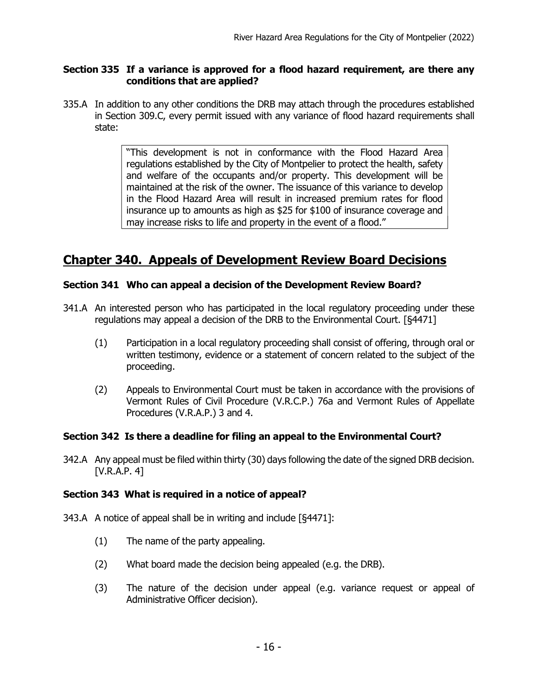## Section 335 If a variance is approved for a flood hazard requirement, are there any conditions that are applied?

335.A In addition to any other conditions the DRB may attach through the procedures established in Section 309.C, every permit issued with any variance of flood hazard requirements shall state:

> "This development is not in conformance with the Flood Hazard Area regulations established by the City of Montpelier to protect the health, safety and welfare of the occupants and/or property. This development will be maintained at the risk of the owner. The issuance of this variance to develop in the Flood Hazard Area will result in increased premium rates for flood insurance up to amounts as high as \$25 for \$100 of insurance coverage and may increase risks to life and property in the event of a flood."

# Chapter 340. Appeals of Development Review Board Decisions

# Section 341 Who can appeal a decision of the Development Review Board?

- 341.A An interested person who has participated in the local regulatory proceeding under these regulations may appeal a decision of the DRB to the Environmental Court. [§4471]
	- (1) Participation in a local regulatory proceeding shall consist of offering, through oral or written testimony, evidence or a statement of concern related to the subject of the proceeding.
	- (2) Appeals to Environmental Court must be taken in accordance with the provisions of Vermont Rules of Civil Procedure (V.R.C.P.) 76a and Vermont Rules of Appellate Procedures (V.R.A.P.) 3 and 4.

# Section 342 Is there a deadline for filing an appeal to the Environmental Court?

342.A Any appeal must be filed within thirty (30) days following the date of the signed DRB decision. [V.R.A.P. 4]

# Section 343 What is required in a notice of appeal?

- 343.A A notice of appeal shall be in writing and include [§4471]:
	- (1) The name of the party appealing.
	- (2) What board made the decision being appealed (e.g. the DRB).
	- (3) The nature of the decision under appeal (e.g. variance request or appeal of Administrative Officer decision).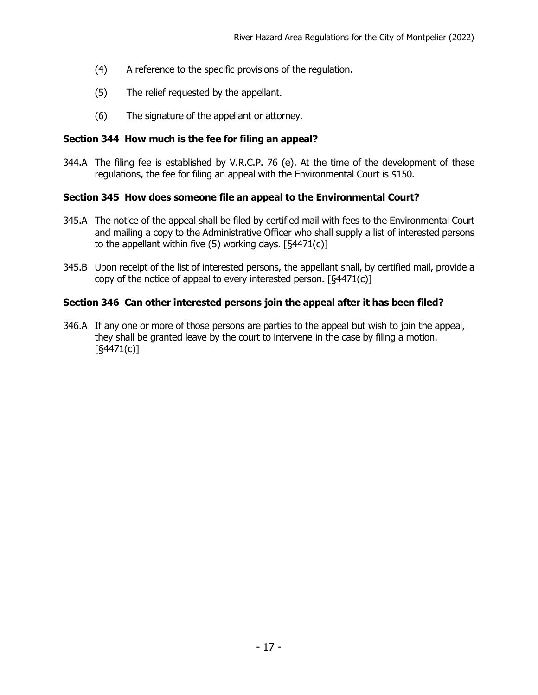- (4) A reference to the specific provisions of the regulation.
- (5) The relief requested by the appellant.
- (6) The signature of the appellant or attorney.

# Section 344 How much is the fee for filing an appeal?

344.A The filing fee is established by V.R.C.P. 76 (e). At the time of the development of these regulations, the fee for filing an appeal with the Environmental Court is \$150.

# Section 345 How does someone file an appeal to the Environmental Court?

- 345.A The notice of the appeal shall be filed by certified mail with fees to the Environmental Court and mailing a copy to the Administrative Officer who shall supply a list of interested persons to the appellant within five  $(5)$  working days.  $[§4471(c)]$
- 345.B Upon receipt of the list of interested persons, the appellant shall, by certified mail, provide a copy of the notice of appeal to every interested person. [§4471(c)]

# Section 346 Can other interested persons join the appeal after it has been filed?

346.A If any one or more of those persons are parties to the appeal but wish to join the appeal, they shall be granted leave by the court to intervene in the case by filing a motion. [§4471(c)]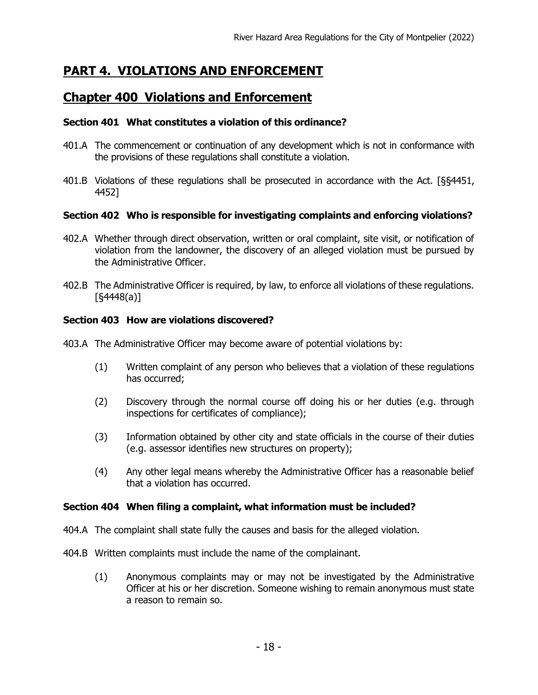# PART 4. VIOLATIONS AND ENFORCEMENT

# Chapter 400 Violations and Enforcement

## Section 401 What constitutes a violation of this ordinance?

- 401.A The commencement or continuation of any development which is not in conformance with the provisions of these regulations shall constitute a violation.
- 401.B Violations of these regulations shall be prosecuted in accordance with the Act. [§§4451, 4452]

## Section 402 Who is responsible for investigating complaints and enforcing violations?

- 402.A Whether through direct observation, written or oral complaint, site visit, or notification of violation from the landowner, the discovery of an alleged violation must be pursued by the Administrative Officer.
- 402.B The Administrative Officer is required, by law, to enforce all violations of these regulations.  $[§4448(a)]$

## Section 403 How are violations discovered?

- 403.A The Administrative Officer may become aware of potential violations by:
	- (1) Written complaint of any person who believes that a violation of these regulations has occurred;
	- (2) Discovery through the normal course off doing his or her duties (e.g. through inspections for certificates of compliance);
	- (3) Information obtained by other city and state officials in the course of their duties (e.g. assessor identifies new structures on property);
	- (4) Any other legal means whereby the Administrative Officer has a reasonable belief that a violation has occurred.

## Section 404 When filing a complaint, what information must be included?

- 404.A The complaint shall state fully the causes and basis for the alleged violation.
- 404.B Written complaints must include the name of the complainant.
	- (1) Anonymous complaints may or may not be investigated by the Administrative Officer at his or her discretion. Someone wishing to remain anonymous must state a reason to remain so.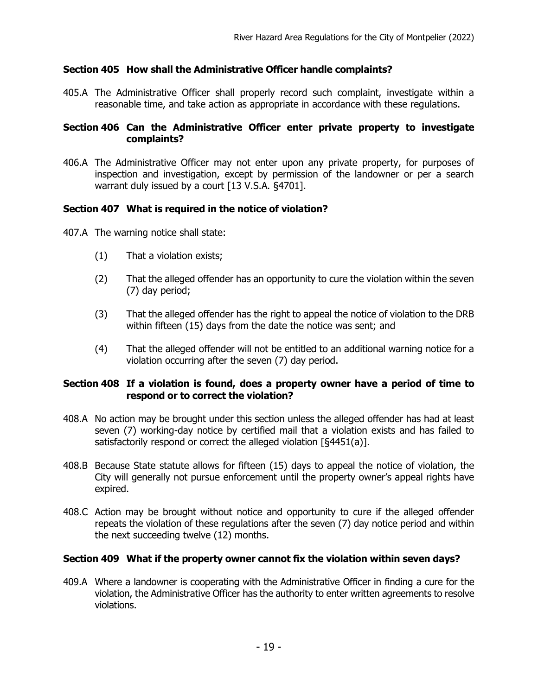## Section 405 How shall the Administrative Officer handle complaints?

405.A The Administrative Officer shall properly record such complaint, investigate within a reasonable time, and take action as appropriate in accordance with these regulations.

## Section 406 Can the Administrative Officer enter private property to investigate complaints?

406.A The Administrative Officer may not enter upon any private property, for purposes of inspection and investigation, except by permission of the landowner or per a search warrant duly issued by a court [13 V.S.A. §4701].

## Section 407 What is required in the notice of violation?

- 407.A The warning notice shall state:
	- (1) That a violation exists;
	- (2) That the alleged offender has an opportunity to cure the violation within the seven (7) day period;
	- (3) That the alleged offender has the right to appeal the notice of violation to the DRB within fifteen (15) days from the date the notice was sent; and
	- (4) That the alleged offender will not be entitled to an additional warning notice for a violation occurring after the seven (7) day period.

## Section 408 If a violation is found, does a property owner have a period of time to respond or to correct the violation?

- 408.A No action may be brought under this section unless the alleged offender has had at least seven (7) working-day notice by certified mail that a violation exists and has failed to satisfactorily respond or correct the alleged violation [§4451(a)].
- 408.B Because State statute allows for fifteen (15) days to appeal the notice of violation, the City will generally not pursue enforcement until the property owner's appeal rights have expired.
- 408.C Action may be brought without notice and opportunity to cure if the alleged offender repeats the violation of these regulations after the seven (7) day notice period and within the next succeeding twelve (12) months.

## Section 409 What if the property owner cannot fix the violation within seven days?

409.A Where a landowner is cooperating with the Administrative Officer in finding a cure for the violation, the Administrative Officer has the authority to enter written agreements to resolve violations.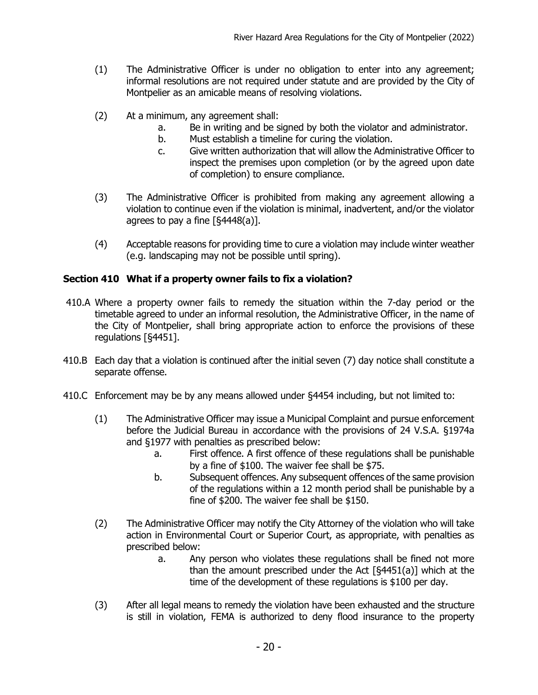- (1) The Administrative Officer is under no obligation to enter into any agreement; informal resolutions are not required under statute and are provided by the City of Montpelier as an amicable means of resolving violations.
- (2) At a minimum, any agreement shall:
	- a. Be in writing and be signed by both the violator and administrator.
	- b. Must establish a timeline for curing the violation.
	- c. Give written authorization that will allow the Administrative Officer to inspect the premises upon completion (or by the agreed upon date of completion) to ensure compliance.
- (3) The Administrative Officer is prohibited from making any agreement allowing a violation to continue even if the violation is minimal, inadvertent, and/or the violator agrees to pay a fine  $[§4448(a)].$
- (4) Acceptable reasons for providing time to cure a violation may include winter weather (e.g. landscaping may not be possible until spring).

# Section 410 What if a property owner fails to fix a violation?

- 410.A Where a property owner fails to remedy the situation within the 7-day period or the timetable agreed to under an informal resolution, the Administrative Officer, in the name of the City of Montpelier, shall bring appropriate action to enforce the provisions of these regulations [§4451].
- 410.B Each day that a violation is continued after the initial seven (7) day notice shall constitute a separate offense.
- 410.C Enforcement may be by any means allowed under §4454 including, but not limited to:
	- (1) The Administrative Officer may issue a Municipal Complaint and pursue enforcement before the Judicial Bureau in accordance with the provisions of 24 V.S.A. §1974a and §1977 with penalties as prescribed below:
		- a. First offence. A first offence of these regulations shall be punishable by a fine of \$100. The waiver fee shall be \$75.
		- b. Subsequent offences. Any subsequent offences of the same provision of the regulations within a 12 month period shall be punishable by a fine of \$200. The waiver fee shall be \$150.
	- (2) The Administrative Officer may notify the City Attorney of the violation who will take action in Environmental Court or Superior Court, as appropriate, with penalties as prescribed below:
		- a. Any person who violates these regulations shall be fined not more than the amount prescribed under the Act [§4451(a)] which at the time of the development of these regulations is \$100 per day.
	- (3) After all legal means to remedy the violation have been exhausted and the structure is still in violation, FEMA is authorized to deny flood insurance to the property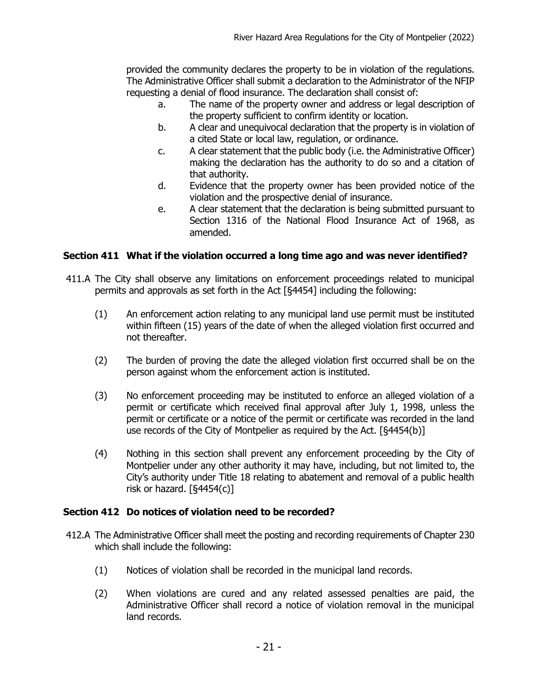provided the community declares the property to be in violation of the regulations. The Administrative Officer shall submit a declaration to the Administrator of the NFIP requesting a denial of flood insurance. The declaration shall consist of:

- a. The name of the property owner and address or legal description of the property sufficient to confirm identity or location.
- b. A clear and unequivocal declaration that the property is in violation of a cited State or local law, regulation, or ordinance.
- c. A clear statement that the public body (i.e. the Administrative Officer) making the declaration has the authority to do so and a citation of that authority.
- d. Evidence that the property owner has been provided notice of the violation and the prospective denial of insurance.
- e. A clear statement that the declaration is being submitted pursuant to Section 1316 of the National Flood Insurance Act of 1968, as amended.

# Section 411 What if the violation occurred a long time ago and was never identified?

- 411.A The City shall observe any limitations on enforcement proceedings related to municipal permits and approvals as set forth in the Act [§4454] including the following:
	- (1) An enforcement action relating to any municipal land use permit must be instituted within fifteen (15) years of the date of when the alleged violation first occurred and not thereafter.
	- (2) The burden of proving the date the alleged violation first occurred shall be on the person against whom the enforcement action is instituted.
	- (3) No enforcement proceeding may be instituted to enforce an alleged violation of a permit or certificate which received final approval after July 1, 1998, unless the permit or certificate or a notice of the permit or certificate was recorded in the land use records of the City of Montpelier as required by the Act. [§4454(b)]
	- (4) Nothing in this section shall prevent any enforcement proceeding by the City of Montpelier under any other authority it may have, including, but not limited to, the City's authority under Title 18 relating to abatement and removal of a public health risk or hazard. [§4454(c)]

# Section 412 Do notices of violation need to be recorded?

- 412.A The Administrative Officer shall meet the posting and recording requirements of Chapter 230 which shall include the following:
	- (1) Notices of violation shall be recorded in the municipal land records.
	- (2) When violations are cured and any related assessed penalties are paid, the Administrative Officer shall record a notice of violation removal in the municipal land records.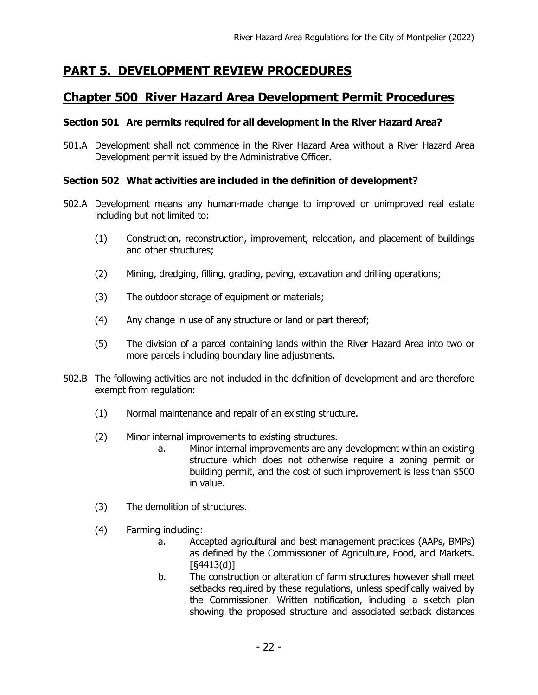# PART 5. DEVELOPMENT REVIEW PROCEDURES

# Chapter 500 River Hazard Area Development Permit Procedures

## Section 501 Are permits required for all development in the River Hazard Area?

501.A Development shall not commence in the River Hazard Area without a River Hazard Area Development permit issued by the Administrative Officer.

## Section 502 What activities are included in the definition of development?

- 502.A Development means any human-made change to improved or unimproved real estate including but not limited to:
	- (1) Construction, reconstruction, improvement, relocation, and placement of buildings and other structures;
	- (2) Mining, dredging, filling, grading, paving, excavation and drilling operations;
	- (3) The outdoor storage of equipment or materials;
	- (4) Any change in use of any structure or land or part thereof;
	- (5) The division of a parcel containing lands within the River Hazard Area into two or more parcels including boundary line adjustments.
- 502.B The following activities are not included in the definition of development and are therefore exempt from regulation:
	- (1) Normal maintenance and repair of an existing structure.
	- (2) Minor internal improvements to existing structures.
		- a. Minor internal improvements are any development within an existing structure which does not otherwise require a zoning permit or building permit, and the cost of such improvement is less than \$500 in value.
	- (3) The demolition of structures.
	- (4) Farming including:
		- a. Accepted agricultural and best management practices (AAPs, BMPs) as defined by the Commissioner of Agriculture, Food, and Markets. [§4413(d)]
		- b. The construction or alteration of farm structures however shall meet setbacks required by these regulations, unless specifically waived by the Commissioner. Written notification, including a sketch plan showing the proposed structure and associated setback distances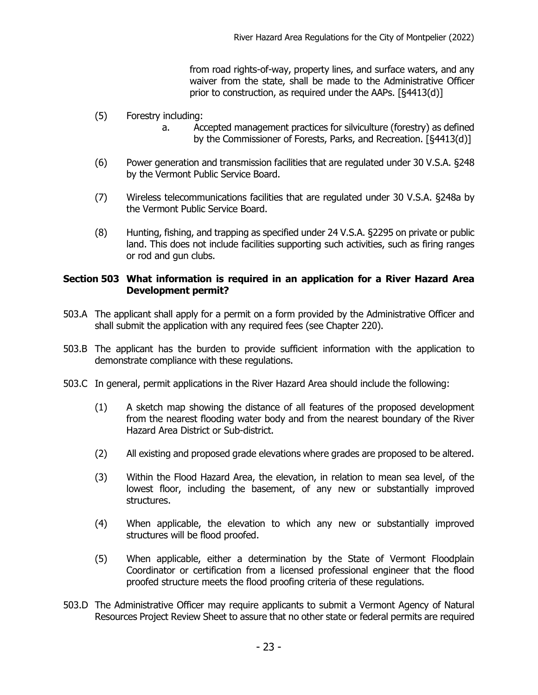from road rights-of-way, property lines, and surface waters, and any waiver from the state, shall be made to the Administrative Officer prior to construction, as required under the AAPs. [§4413(d)]

- (5) Forestry including:
	- a. Accepted management practices for silviculture (forestry) as defined by the Commissioner of Forests, Parks, and Recreation. [§4413(d)]
- (6) Power generation and transmission facilities that are regulated under 30 V.S.A. §248 by the Vermont Public Service Board.
- (7) Wireless telecommunications facilities that are regulated under 30 V.S.A. §248a by the Vermont Public Service Board.
- (8) Hunting, fishing, and trapping as specified under 24 V.S.A. §2295 on private or public land. This does not include facilities supporting such activities, such as firing ranges or rod and gun clubs.

## Section 503 What information is required in an application for a River Hazard Area Development permit?

- 503.A The applicant shall apply for a permit on a form provided by the Administrative Officer and shall submit the application with any required fees (see Chapter 220).
- 503.B The applicant has the burden to provide sufficient information with the application to demonstrate compliance with these regulations.
- 503.C In general, permit applications in the River Hazard Area should include the following:
	- (1) A sketch map showing the distance of all features of the proposed development from the nearest flooding water body and from the nearest boundary of the River Hazard Area District or Sub-district.
	- (2) All existing and proposed grade elevations where grades are proposed to be altered.
	- (3) Within the Flood Hazard Area, the elevation, in relation to mean sea level, of the lowest floor, including the basement, of any new or substantially improved structures.
	- (4) When applicable, the elevation to which any new or substantially improved structures will be flood proofed.
	- (5) When applicable, either a determination by the State of Vermont Floodplain Coordinator or certification from a licensed professional engineer that the flood proofed structure meets the flood proofing criteria of these regulations.
- 503.D The Administrative Officer may require applicants to submit a Vermont Agency of Natural Resources Project Review Sheet to assure that no other state or federal permits are required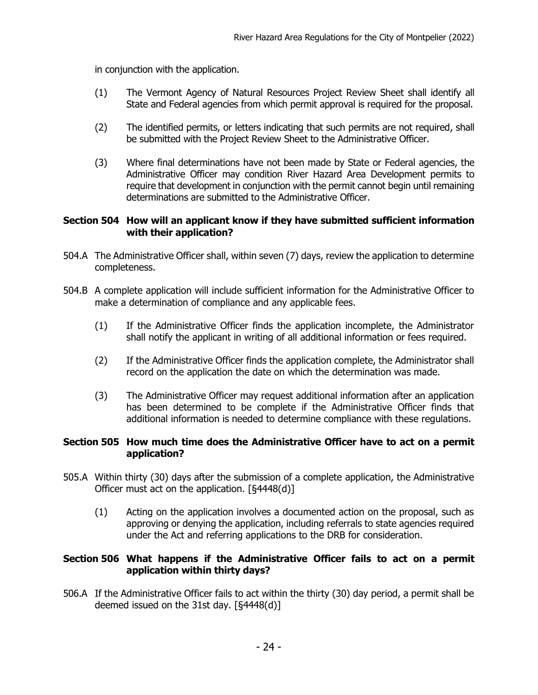in conjunction with the application.

- (1) The Vermont Agency of Natural Resources Project Review Sheet shall identify all State and Federal agencies from which permit approval is required for the proposal.
- (2) The identified permits, or letters indicating that such permits are not required, shall be submitted with the Project Review Sheet to the Administrative Officer.
- (3) Where final determinations have not been made by State or Federal agencies, the Administrative Officer may condition River Hazard Area Development permits to require that development in conjunction with the permit cannot begin until remaining determinations are submitted to the Administrative Officer.

## Section 504 How will an applicant know if they have submitted sufficient information with their application?

- 504.A The Administrative Officer shall, within seven (7) days, review the application to determine completeness.
- 504.B A complete application will include sufficient information for the Administrative Officer to make a determination of compliance and any applicable fees.
	- (1) If the Administrative Officer finds the application incomplete, the Administrator shall notify the applicant in writing of all additional information or fees required.
	- (2) If the Administrative Officer finds the application complete, the Administrator shall record on the application the date on which the determination was made.
	- (3) The Administrative Officer may request additional information after an application has been determined to be complete if the Administrative Officer finds that additional information is needed to determine compliance with these regulations.

## Section 505 How much time does the Administrative Officer have to act on a permit application?

- 505.A Within thirty (30) days after the submission of a complete application, the Administrative Officer must act on the application. [§4448(d)]
	- (1) Acting on the application involves a documented action on the proposal, such as approving or denying the application, including referrals to state agencies required under the Act and referring applications to the DRB for consideration.

## Section 506 What happens if the Administrative Officer fails to act on a permit application within thirty days?

506.A If the Administrative Officer fails to act within the thirty (30) day period, a permit shall be deemed issued on the 31st day. [§4448(d)]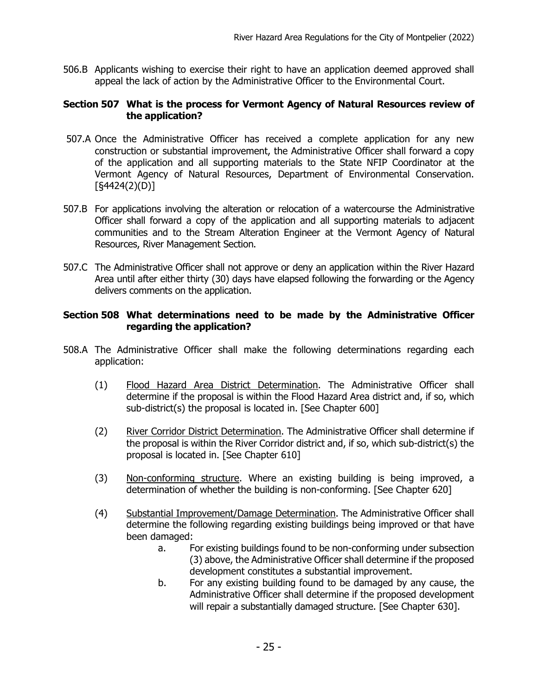506.B Applicants wishing to exercise their right to have an application deemed approved shall appeal the lack of action by the Administrative Officer to the Environmental Court.

## Section 507 What is the process for Vermont Agency of Natural Resources review of the application?

- 507.A Once the Administrative Officer has received a complete application for any new construction or substantial improvement, the Administrative Officer shall forward a copy of the application and all supporting materials to the State NFIP Coordinator at the Vermont Agency of Natural Resources, Department of Environmental Conservation. [§4424(2)(D)]
- 507.B For applications involving the alteration or relocation of a watercourse the Administrative Officer shall forward a copy of the application and all supporting materials to adjacent communities and to the Stream Alteration Engineer at the Vermont Agency of Natural Resources, River Management Section.
- 507.C The Administrative Officer shall not approve or deny an application within the River Hazard Area until after either thirty (30) days have elapsed following the forwarding or the Agency delivers comments on the application.

## Section 508 What determinations need to be made by the Administrative Officer regarding the application?

- 508.A The Administrative Officer shall make the following determinations regarding each application:
	- (1) Flood Hazard Area District Determination. The Administrative Officer shall determine if the proposal is within the Flood Hazard Area district and, if so, which sub-district(s) the proposal is located in. [See Chapter 600]
	- (2) River Corridor District Determination. The Administrative Officer shall determine if the proposal is within the River Corridor district and, if so, which sub-district(s) the proposal is located in. [See Chapter 610]
	- (3) Non-conforming structure. Where an existing building is being improved, a determination of whether the building is non-conforming. [See Chapter 620]
	- (4) Substantial Improvement/Damage Determination. The Administrative Officer shall determine the following regarding existing buildings being improved or that have been damaged:
		- a. For existing buildings found to be non-conforming under subsection (3) above, the Administrative Officer shall determine if the proposed development constitutes a substantial improvement.
		- b. For any existing building found to be damaged by any cause, the Administrative Officer shall determine if the proposed development will repair a substantially damaged structure. [See Chapter 630].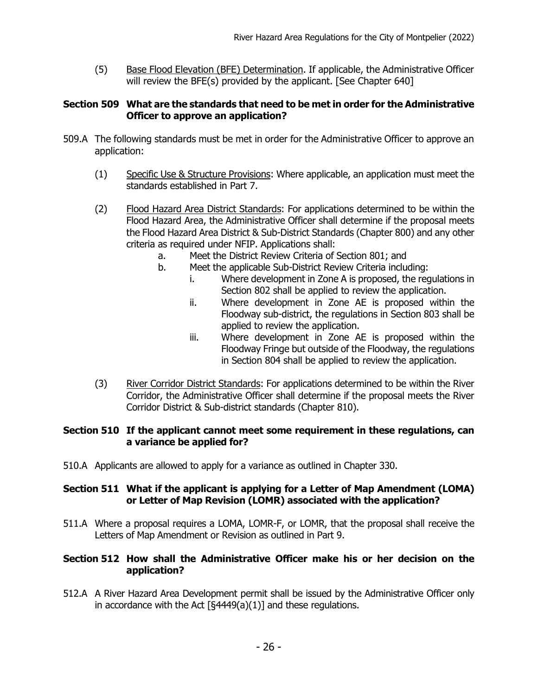(5) Base Flood Elevation (BFE) Determination. If applicable, the Administrative Officer will review the BFE(s) provided by the applicant. [See Chapter 640]

## Section 509 What are the standards that need to be met in order for the Administrative Officer to approve an application?

- 509.A The following standards must be met in order for the Administrative Officer to approve an application:
	- (1) Specific Use & Structure Provisions: Where applicable, an application must meet the standards established in Part 7.
	- (2) Flood Hazard Area District Standards: For applications determined to be within the Flood Hazard Area, the Administrative Officer shall determine if the proposal meets the Flood Hazard Area District & Sub-District Standards (Chapter 800) and any other criteria as required under NFIP. Applications shall:
		- a. Meet the District Review Criteria of Section 801; and
		- b. Meet the applicable Sub-District Review Criteria including:
			- i. Where development in Zone A is proposed, the regulations in Section 802 shall be applied to review the application.
			- ii. Where development in Zone AE is proposed within the Floodway sub-district, the regulations in Section 803 shall be applied to review the application.
			- iii. Where development in Zone AE is proposed within the Floodway Fringe but outside of the Floodway, the regulations in Section 804 shall be applied to review the application.
	- (3) River Corridor District Standards: For applications determined to be within the River Corridor, the Administrative Officer shall determine if the proposal meets the River Corridor District & Sub-district standards (Chapter 810).

## Section 510 If the applicant cannot meet some requirement in these regulations, can a variance be applied for?

510.A Applicants are allowed to apply for a variance as outlined in Chapter 330.

# Section 511 What if the applicant is applying for a Letter of Map Amendment (LOMA) or Letter of Map Revision (LOMR) associated with the application?

511.A Where a proposal requires a LOMA, LOMR-F, or LOMR, that the proposal shall receive the Letters of Map Amendment or Revision as outlined in Part 9.

## Section 512 How shall the Administrative Officer make his or her decision on the application?

512.A A River Hazard Area Development permit shall be issued by the Administrative Officer only in accordance with the Act  $[§4449(a)(1)]$  and these regulations.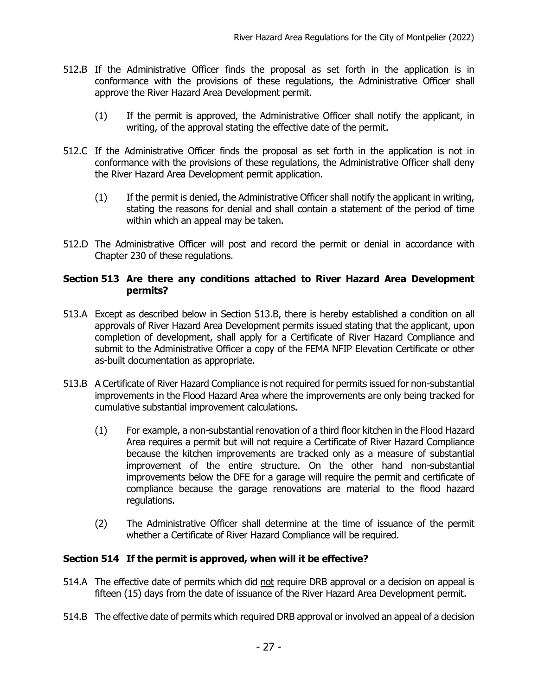- 512.B If the Administrative Officer finds the proposal as set forth in the application is in conformance with the provisions of these regulations, the Administrative Officer shall approve the River Hazard Area Development permit.
	- (1) If the permit is approved, the Administrative Officer shall notify the applicant, in writing, of the approval stating the effective date of the permit.
- 512.C If the Administrative Officer finds the proposal as set forth in the application is not in conformance with the provisions of these regulations, the Administrative Officer shall deny the River Hazard Area Development permit application.
	- (1) If the permit is denied, the Administrative Officer shall notify the applicant in writing, stating the reasons for denial and shall contain a statement of the period of time within which an appeal may be taken.
- 512.D The Administrative Officer will post and record the permit or denial in accordance with Chapter 230 of these regulations.

## Section 513 Are there any conditions attached to River Hazard Area Development permits?

- 513.A Except as described below in Section 513.B, there is hereby established a condition on all approvals of River Hazard Area Development permits issued stating that the applicant, upon completion of development, shall apply for a Certificate of River Hazard Compliance and submit to the Administrative Officer a copy of the FEMA NFIP Elevation Certificate or other as-built documentation as appropriate.
- 513.B A Certificate of River Hazard Compliance is not required for permits issued for non-substantial improvements in the Flood Hazard Area where the improvements are only being tracked for cumulative substantial improvement calculations.
	- (1) For example, a non-substantial renovation of a third floor kitchen in the Flood Hazard Area requires a permit but will not require a Certificate of River Hazard Compliance because the kitchen improvements are tracked only as a measure of substantial improvement of the entire structure. On the other hand non-substantial improvements below the DFE for a garage will require the permit and certificate of compliance because the garage renovations are material to the flood hazard regulations.
	- (2) The Administrative Officer shall determine at the time of issuance of the permit whether a Certificate of River Hazard Compliance will be required.

# Section 514 If the permit is approved, when will it be effective?

- 514.A The effective date of permits which did not require DRB approval or a decision on appeal is fifteen (15) days from the date of issuance of the River Hazard Area Development permit.
- 514.B The effective date of permits which required DRB approval or involved an appeal of a decision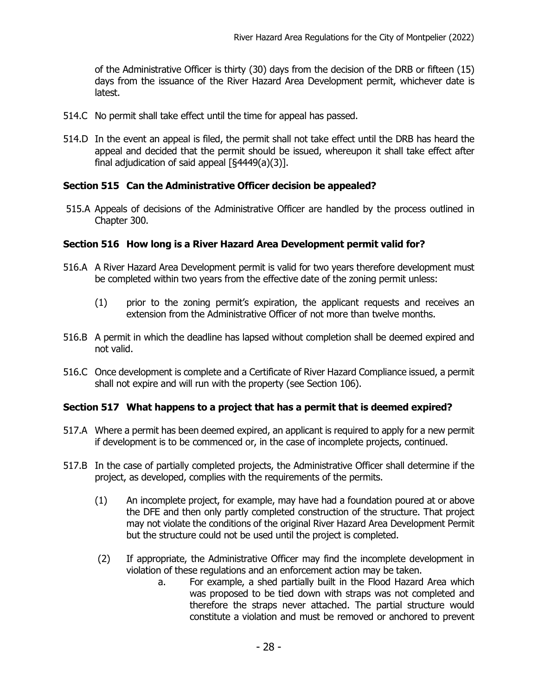of the Administrative Officer is thirty (30) days from the decision of the DRB or fifteen (15) days from the issuance of the River Hazard Area Development permit, whichever date is latest.

- 514.C No permit shall take effect until the time for appeal has passed.
- 514.D In the event an appeal is filed, the permit shall not take effect until the DRB has heard the appeal and decided that the permit should be issued, whereupon it shall take effect after final adjudication of said appeal [§4449(a)(3)].

## Section 515 Can the Administrative Officer decision be appealed?

 515.A Appeals of decisions of the Administrative Officer are handled by the process outlined in Chapter 300.

## Section 516 How long is a River Hazard Area Development permit valid for?

- 516.A A River Hazard Area Development permit is valid for two years therefore development must be completed within two years from the effective date of the zoning permit unless:
	- (1) prior to the zoning permit's expiration, the applicant requests and receives an extension from the Administrative Officer of not more than twelve months.
- 516.B A permit in which the deadline has lapsed without completion shall be deemed expired and not valid.
- 516.C Once development is complete and a Certificate of River Hazard Compliance issued, a permit shall not expire and will run with the property (see Section 106).

## Section 517 What happens to a project that has a permit that is deemed expired?

- 517.A Where a permit has been deemed expired, an applicant is required to apply for a new permit if development is to be commenced or, in the case of incomplete projects, continued.
- 517.B In the case of partially completed projects, the Administrative Officer shall determine if the project, as developed, complies with the requirements of the permits.
	- (1) An incomplete project, for example, may have had a foundation poured at or above the DFE and then only partly completed construction of the structure. That project may not violate the conditions of the original River Hazard Area Development Permit but the structure could not be used until the project is completed.
	- (2) If appropriate, the Administrative Officer may find the incomplete development in violation of these regulations and an enforcement action may be taken.
		- a. For example, a shed partially built in the Flood Hazard Area which was proposed to be tied down with straps was not completed and therefore the straps never attached. The partial structure would constitute a violation and must be removed or anchored to prevent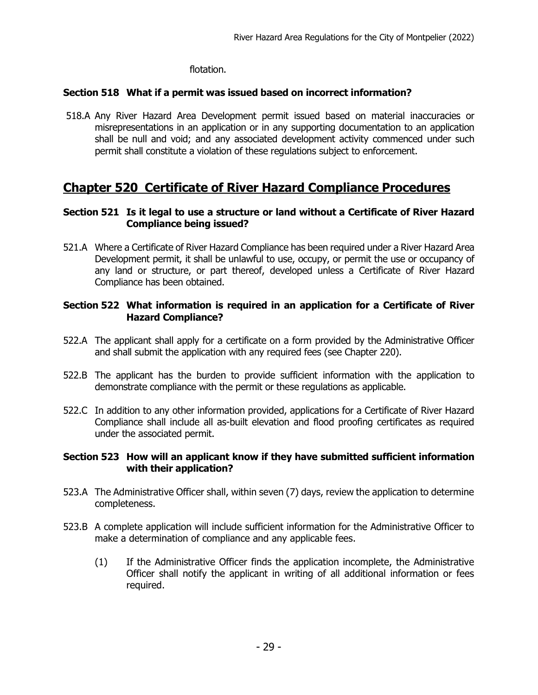flotation.

## Section 518 What if a permit was issued based on incorrect information?

 518.A Any River Hazard Area Development permit issued based on material inaccuracies or misrepresentations in an application or in any supporting documentation to an application shall be null and void; and any associated development activity commenced under such permit shall constitute a violation of these regulations subject to enforcement.

# Chapter 520 Certificate of River Hazard Compliance Procedures

## Section 521 Is it legal to use a structure or land without a Certificate of River Hazard Compliance being issued?

521.A Where a Certificate of River Hazard Compliance has been required under a River Hazard Area Development permit, it shall be unlawful to use, occupy, or permit the use or occupancy of any land or structure, or part thereof, developed unless a Certificate of River Hazard Compliance has been obtained.

## Section 522 What information is required in an application for a Certificate of River Hazard Compliance?

- 522.A The applicant shall apply for a certificate on a form provided by the Administrative Officer and shall submit the application with any required fees (see Chapter 220).
- 522.B The applicant has the burden to provide sufficient information with the application to demonstrate compliance with the permit or these regulations as applicable.
- 522.C In addition to any other information provided, applications for a Certificate of River Hazard Compliance shall include all as-built elevation and flood proofing certificates as required under the associated permit.

## Section 523 How will an applicant know if they have submitted sufficient information with their application?

- 523.A The Administrative Officer shall, within seven (7) days, review the application to determine completeness.
- 523.B A complete application will include sufficient information for the Administrative Officer to make a determination of compliance and any applicable fees.
	- (1) If the Administrative Officer finds the application incomplete, the Administrative Officer shall notify the applicant in writing of all additional information or fees required.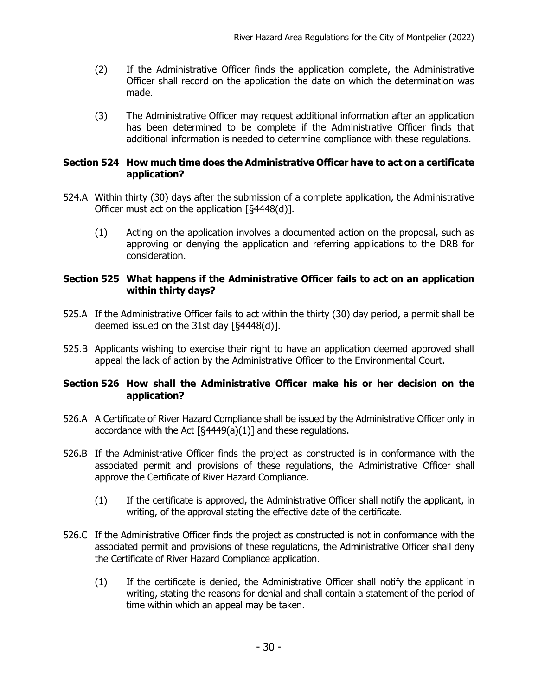- (2) If the Administrative Officer finds the application complete, the Administrative Officer shall record on the application the date on which the determination was made.
- (3) The Administrative Officer may request additional information after an application has been determined to be complete if the Administrative Officer finds that additional information is needed to determine compliance with these regulations.

## Section 524 How much time does the Administrative Officer have to act on a certificate application?

- 524.A Within thirty (30) days after the submission of a complete application, the Administrative Officer must act on the application [§4448(d)].
	- (1) Acting on the application involves a documented action on the proposal, such as approving or denying the application and referring applications to the DRB for consideration.

## Section 525 What happens if the Administrative Officer fails to act on an application within thirty days?

- 525.A If the Administrative Officer fails to act within the thirty (30) day period, a permit shall be deemed issued on the 31st day [§4448(d)].
- 525.B Applicants wishing to exercise their right to have an application deemed approved shall appeal the lack of action by the Administrative Officer to the Environmental Court.

## Section 526 How shall the Administrative Officer make his or her decision on the application?

- 526.A A Certificate of River Hazard Compliance shall be issued by the Administrative Officer only in accordance with the Act [§4449(a)(1)] and these regulations.
- 526.B If the Administrative Officer finds the project as constructed is in conformance with the associated permit and provisions of these regulations, the Administrative Officer shall approve the Certificate of River Hazard Compliance.
	- (1) If the certificate is approved, the Administrative Officer shall notify the applicant, in writing, of the approval stating the effective date of the certificate.
- 526.C If the Administrative Officer finds the project as constructed is not in conformance with the associated permit and provisions of these regulations, the Administrative Officer shall deny the Certificate of River Hazard Compliance application.
	- (1) If the certificate is denied, the Administrative Officer shall notify the applicant in writing, stating the reasons for denial and shall contain a statement of the period of time within which an appeal may be taken.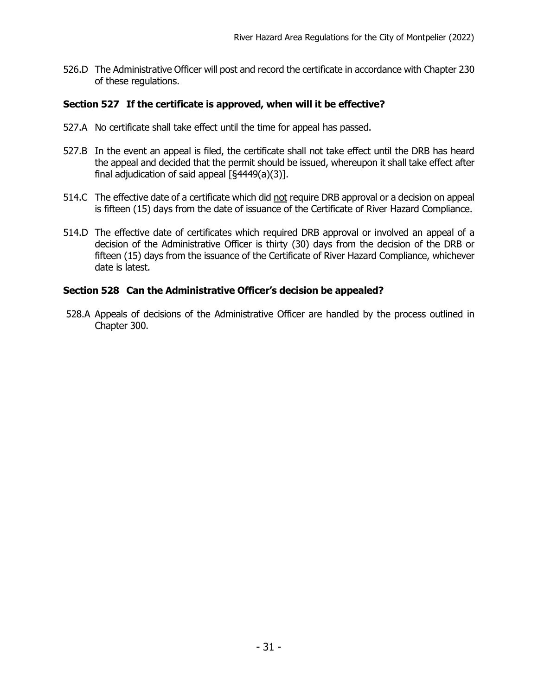526.D The Administrative Officer will post and record the certificate in accordance with Chapter 230 of these regulations.

## Section 527 If the certificate is approved, when will it be effective?

- 527.A No certificate shall take effect until the time for appeal has passed.
- 527.B In the event an appeal is filed, the certificate shall not take effect until the DRB has heard the appeal and decided that the permit should be issued, whereupon it shall take effect after final adjudication of said appeal [§4449(a)(3)].
- 514.C The effective date of a certificate which did not require DRB approval or a decision on appeal is fifteen (15) days from the date of issuance of the Certificate of River Hazard Compliance.
- 514.D The effective date of certificates which required DRB approval or involved an appeal of a decision of the Administrative Officer is thirty (30) days from the decision of the DRB or fifteen (15) days from the issuance of the Certificate of River Hazard Compliance, whichever date is latest.

#### Section 528 Can the Administrative Officer's decision be appealed?

 528.A Appeals of decisions of the Administrative Officer are handled by the process outlined in Chapter 300.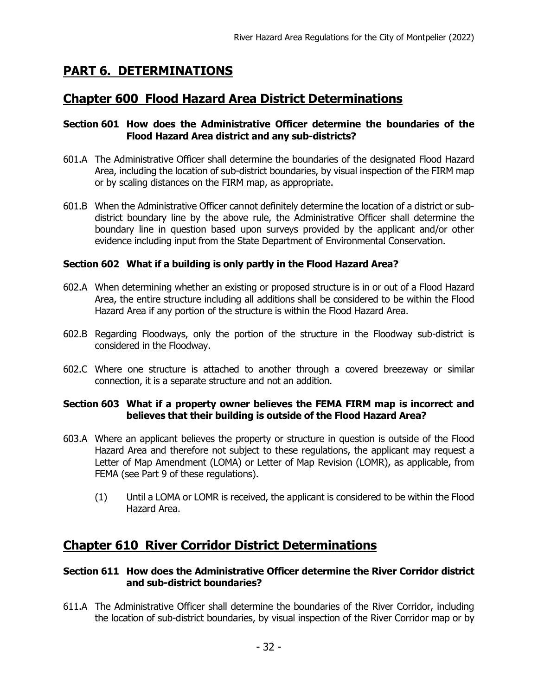# PART 6. DETERMINATIONS

# Chapter 600 Flood Hazard Area District Determinations

## Section 601 How does the Administrative Officer determine the boundaries of the Flood Hazard Area district and any sub-districts?

- 601.A The Administrative Officer shall determine the boundaries of the designated Flood Hazard Area, including the location of sub-district boundaries, by visual inspection of the FIRM map or by scaling distances on the FIRM map, as appropriate.
- 601.B When the Administrative Officer cannot definitely determine the location of a district or subdistrict boundary line by the above rule, the Administrative Officer shall determine the boundary line in question based upon surveys provided by the applicant and/or other evidence including input from the State Department of Environmental Conservation.

## Section 602 What if a building is only partly in the Flood Hazard Area?

- 602.A When determining whether an existing or proposed structure is in or out of a Flood Hazard Area, the entire structure including all additions shall be considered to be within the Flood Hazard Area if any portion of the structure is within the Flood Hazard Area.
- 602.B Regarding Floodways, only the portion of the structure in the Floodway sub-district is considered in the Floodway.
- 602.C Where one structure is attached to another through a covered breezeway or similar connection, it is a separate structure and not an addition.

## Section 603 What if a property owner believes the FEMA FIRM map is incorrect and believes that their building is outside of the Flood Hazard Area?

- 603.A Where an applicant believes the property or structure in question is outside of the Flood Hazard Area and therefore not subject to these regulations, the applicant may request a Letter of Map Amendment (LOMA) or Letter of Map Revision (LOMR), as applicable, from FEMA (see Part 9 of these regulations).
	- (1) Until a LOMA or LOMR is received, the applicant is considered to be within the Flood Hazard Area.

# Chapter 610 River Corridor District Determinations

## Section 611 How does the Administrative Officer determine the River Corridor district and sub-district boundaries?

611.A The Administrative Officer shall determine the boundaries of the River Corridor, including the location of sub-district boundaries, by visual inspection of the River Corridor map or by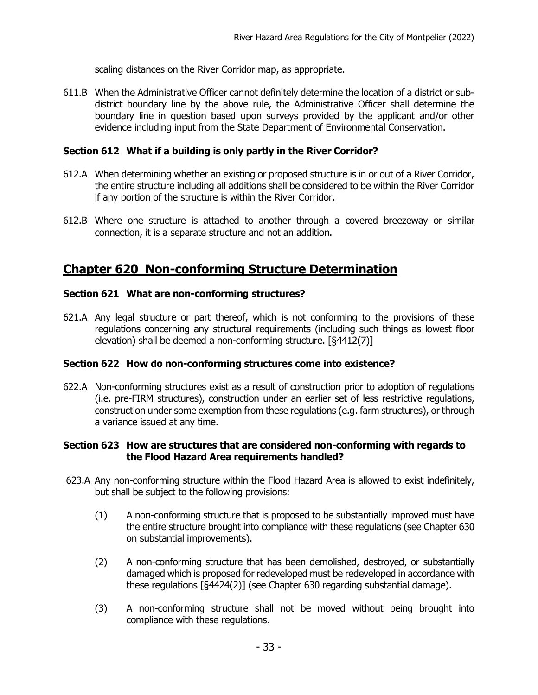scaling distances on the River Corridor map, as appropriate.

611.B When the Administrative Officer cannot definitely determine the location of a district or subdistrict boundary line by the above rule, the Administrative Officer shall determine the boundary line in question based upon surveys provided by the applicant and/or other evidence including input from the State Department of Environmental Conservation.

## Section 612 What if a building is only partly in the River Corridor?

- 612.A When determining whether an existing or proposed structure is in or out of a River Corridor, the entire structure including all additions shall be considered to be within the River Corridor if any portion of the structure is within the River Corridor.
- 612.B Where one structure is attached to another through a covered breezeway or similar connection, it is a separate structure and not an addition.

# Chapter 620 Non-conforming Structure Determination

#### Section 621 What are non-conforming structures?

621.A Any legal structure or part thereof, which is not conforming to the provisions of these regulations concerning any structural requirements (including such things as lowest floor elevation) shall be deemed a non-conforming structure. [§4412(7)]

## Section 622 How do non-conforming structures come into existence?

622.A Non-conforming structures exist as a result of construction prior to adoption of regulations (i.e. pre-FIRM structures), construction under an earlier set of less restrictive regulations, construction under some exemption from these regulations (e.g. farm structures), or through a variance issued at any time.

## Section 623 How are structures that are considered non-conforming with regards to the Flood Hazard Area requirements handled?

- 623.A Any non-conforming structure within the Flood Hazard Area is allowed to exist indefinitely, but shall be subject to the following provisions:
	- (1) A non-conforming structure that is proposed to be substantially improved must have the entire structure brought into compliance with these regulations (see Chapter 630 on substantial improvements).
	- (2) A non-conforming structure that has been demolished, destroyed, or substantially damaged which is proposed for redeveloped must be redeveloped in accordance with these regulations [§4424(2)] (see Chapter 630 regarding substantial damage).
	- (3) A non-conforming structure shall not be moved without being brought into compliance with these regulations.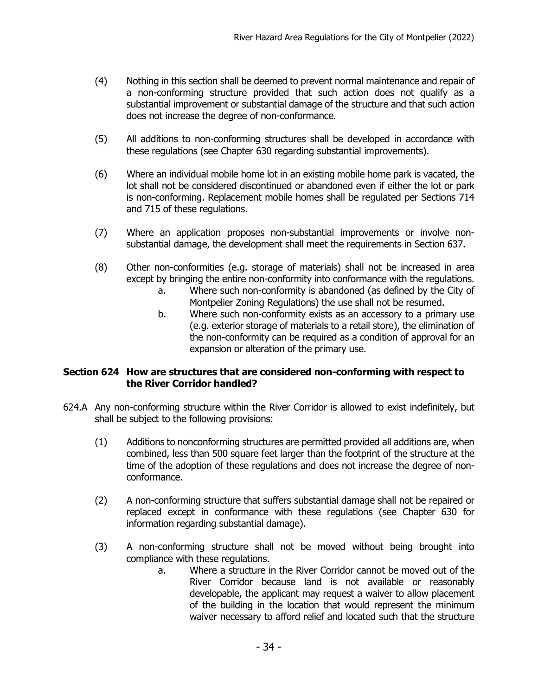- (4) Nothing in this section shall be deemed to prevent normal maintenance and repair of a non-conforming structure provided that such action does not qualify as a substantial improvement or substantial damage of the structure and that such action does not increase the degree of non-conformance.
- (5) All additions to non-conforming structures shall be developed in accordance with these regulations (see Chapter 630 regarding substantial improvements).
- (6) Where an individual mobile home lot in an existing mobile home park is vacated, the lot shall not be considered discontinued or abandoned even if either the lot or park is non-conforming. Replacement mobile homes shall be regulated per Sections 714 and 715 of these regulations.
- (7) Where an application proposes non-substantial improvements or involve nonsubstantial damage, the development shall meet the requirements in Section 637.
- (8) Other non-conformities (e.g. storage of materials) shall not be increased in area except by bringing the entire non-conformity into conformance with the regulations.
	- a. Where such non-conformity is abandoned (as defined by the City of Montpelier Zoning Regulations) the use shall not be resumed.
	- b. Where such non-conformity exists as an accessory to a primary use (e.g. exterior storage of materials to a retail store), the elimination of the non-conformity can be required as a condition of approval for an expansion or alteration of the primary use.

## Section 624 How are structures that are considered non-conforming with respect to the River Corridor handled?

- 624.A Any non-conforming structure within the River Corridor is allowed to exist indefinitely, but shall be subject to the following provisions:
	- (1) Additions to nonconforming structures are permitted provided all additions are, when combined, less than 500 square feet larger than the footprint of the structure at the time of the adoption of these regulations and does not increase the degree of nonconformance.
	- (2) A non-conforming structure that suffers substantial damage shall not be repaired or replaced except in conformance with these regulations (see Chapter 630 for information regarding substantial damage).
	- (3) A non-conforming structure shall not be moved without being brought into compliance with these regulations.
		- a. Where a structure in the River Corridor cannot be moved out of the River Corridor because land is not available or reasonably developable, the applicant may request a waiver to allow placement of the building in the location that would represent the minimum waiver necessary to afford relief and located such that the structure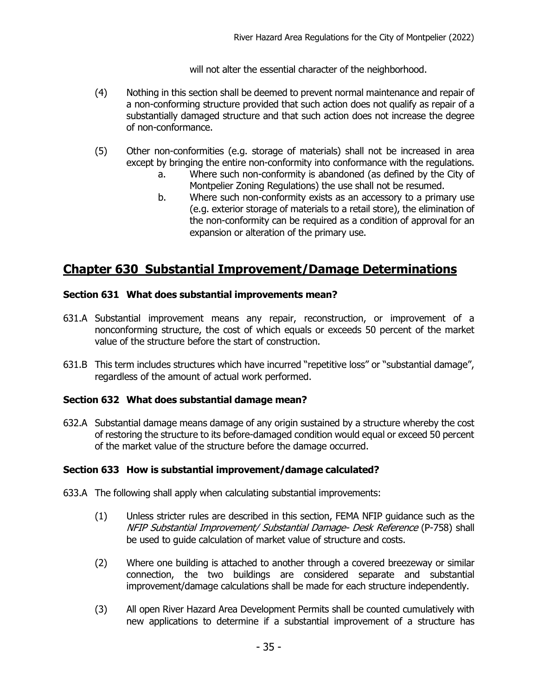will not alter the essential character of the neighborhood.

- (4) Nothing in this section shall be deemed to prevent normal maintenance and repair of a non-conforming structure provided that such action does not qualify as repair of a substantially damaged structure and that such action does not increase the degree of non-conformance.
- (5) Other non-conformities (e.g. storage of materials) shall not be increased in area except by bringing the entire non-conformity into conformance with the regulations.
	- a. Where such non-conformity is abandoned (as defined by the City of Montpelier Zoning Regulations) the use shall not be resumed.
	- b. Where such non-conformity exists as an accessory to a primary use (e.g. exterior storage of materials to a retail store), the elimination of the non-conformity can be required as a condition of approval for an expansion or alteration of the primary use.

# Chapter 630 Substantial Improvement/Damage Determinations

# Section 631 What does substantial improvements mean?

- 631.A Substantial improvement means any repair, reconstruction, or improvement of a nonconforming structure, the cost of which equals or exceeds 50 percent of the market value of the structure before the start of construction.
- 631.B This term includes structures which have incurred "repetitive loss" or "substantial damage", regardless of the amount of actual work performed.

# Section 632 What does substantial damage mean?

632.A Substantial damage means damage of any origin sustained by a structure whereby the cost of restoring the structure to its before-damaged condition would equal or exceed 50 percent of the market value of the structure before the damage occurred.

## Section 633 How is substantial improvement/damage calculated?

- 633.A The following shall apply when calculating substantial improvements:
	- (1) Unless stricter rules are described in this section, FEMA NFIP guidance such as the NFIP Substantial Improvement/ Substantial Damage- Desk Reference (P-758) shall be used to guide calculation of market value of structure and costs.
	- (2) Where one building is attached to another through a covered breezeway or similar connection, the two buildings are considered separate and substantial improvement/damage calculations shall be made for each structure independently.
	- (3) All open River Hazard Area Development Permits shall be counted cumulatively with new applications to determine if a substantial improvement of a structure has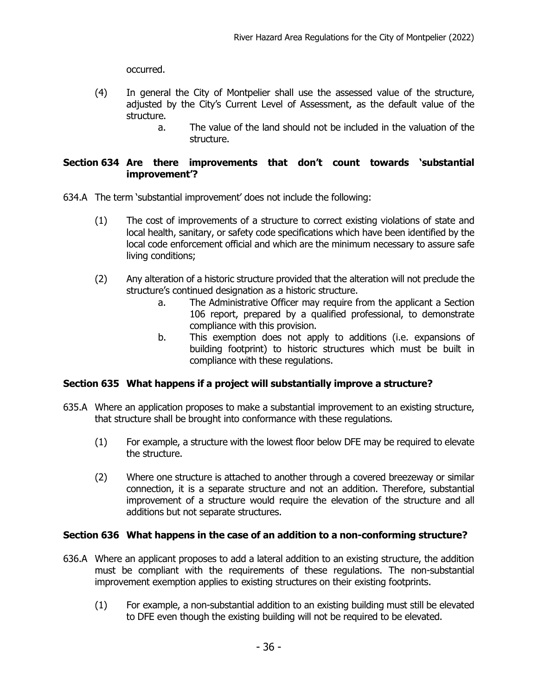occurred.

- (4) In general the City of Montpelier shall use the assessed value of the structure, adjusted by the City's Current Level of Assessment, as the default value of the structure.
	- a. The value of the land should not be included in the valuation of the structure.

## Section 634 Are there improvements that don't count towards 'substantial improvement'?

634.A The term 'substantial improvement' does not include the following:

- (1) The cost of improvements of a structure to correct existing violations of state and local health, sanitary, or safety code specifications which have been identified by the local code enforcement official and which are the minimum necessary to assure safe living conditions;
- (2) Any alteration of a historic structure provided that the alteration will not preclude the structure's continued designation as a historic structure.
	- a. The Administrative Officer may require from the applicant a Section 106 report, prepared by a qualified professional, to demonstrate compliance with this provision.
	- b. This exemption does not apply to additions (i.e. expansions of building footprint) to historic structures which must be built in compliance with these regulations.

# Section 635 What happens if a project will substantially improve a structure?

- 635.A Where an application proposes to make a substantial improvement to an existing structure, that structure shall be brought into conformance with these regulations.
	- (1) For example, a structure with the lowest floor below DFE may be required to elevate the structure.
	- (2) Where one structure is attached to another through a covered breezeway or similar connection, it is a separate structure and not an addition. Therefore, substantial improvement of a structure would require the elevation of the structure and all additions but not separate structures.

# Section 636 What happens in the case of an addition to a non-conforming structure?

- 636.A Where an applicant proposes to add a lateral addition to an existing structure, the addition must be compliant with the requirements of these regulations. The non-substantial improvement exemption applies to existing structures on their existing footprints.
	- (1) For example, a non-substantial addition to an existing building must still be elevated to DFE even though the existing building will not be required to be elevated.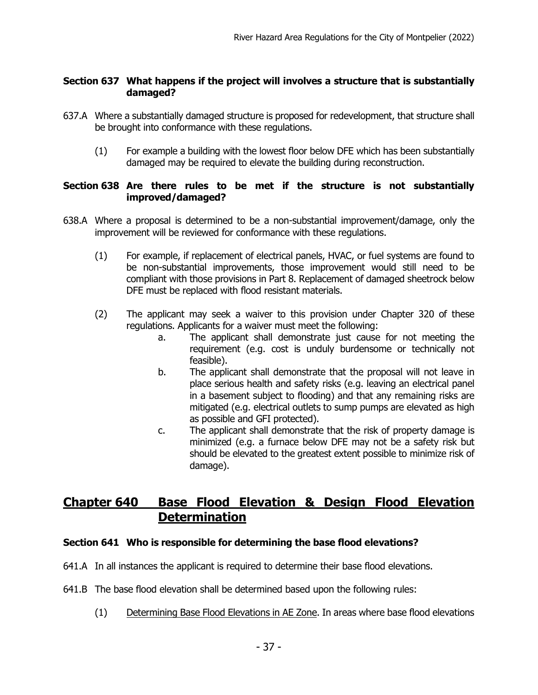# Section 637 What happens if the project will involves a structure that is substantially damaged?

- 637.A Where a substantially damaged structure is proposed for redevelopment, that structure shall be brought into conformance with these regulations.
	- (1) For example a building with the lowest floor below DFE which has been substantially damaged may be required to elevate the building during reconstruction.

## Section 638 Are there rules to be met if the structure is not substantially improved/damaged?

- 638.A Where a proposal is determined to be a non-substantial improvement/damage, only the improvement will be reviewed for conformance with these regulations.
	- (1) For example, if replacement of electrical panels, HVAC, or fuel systems are found to be non-substantial improvements, those improvement would still need to be compliant with those provisions in Part 8. Replacement of damaged sheetrock below DFE must be replaced with flood resistant materials.
	- (2) The applicant may seek a waiver to this provision under Chapter 320 of these regulations. Applicants for a waiver must meet the following:
		- a. The applicant shall demonstrate just cause for not meeting the requirement (e.g. cost is unduly burdensome or technically not feasible).
		- b. The applicant shall demonstrate that the proposal will not leave in place serious health and safety risks (e.g. leaving an electrical panel in a basement subject to flooding) and that any remaining risks are mitigated (e.g. electrical outlets to sump pumps are elevated as high as possible and GFI protected).
		- c. The applicant shall demonstrate that the risk of property damage is minimized (e.g. a furnace below DFE may not be a safety risk but should be elevated to the greatest extent possible to minimize risk of damage).

# Chapter 640 Base Flood Elevation & Design Flood Elevation Determination

# Section 641 Who is responsible for determining the base flood elevations?

- 641.A In all instances the applicant is required to determine their base flood elevations.
- 641.B The base flood elevation shall be determined based upon the following rules:
	- (1) Determining Base Flood Elevations in AE Zone. In areas where base flood elevations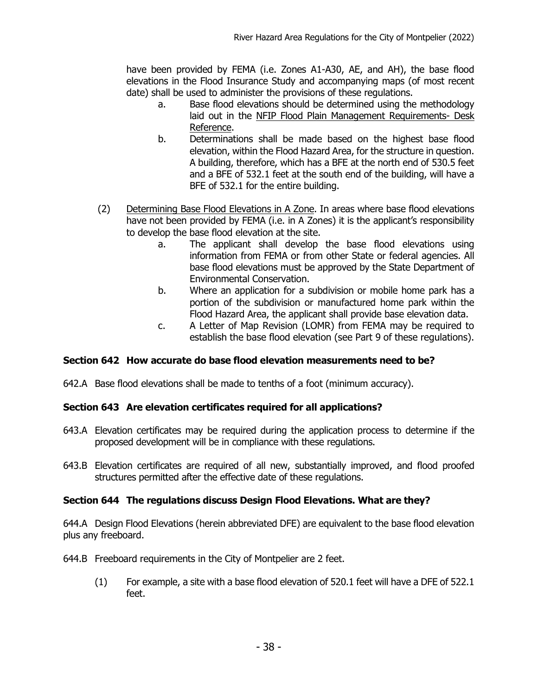have been provided by FEMA (i.e. Zones A1-A30, AE, and AH), the base flood elevations in the Flood Insurance Study and accompanying maps (of most recent date) shall be used to administer the provisions of these regulations.

- a. Base flood elevations should be determined using the methodology laid out in the NFIP Flood Plain Management Requirements- Desk Reference.
- b. Determinations shall be made based on the highest base flood elevation, within the Flood Hazard Area, for the structure in question. A building, therefore, which has a BFE at the north end of 530.5 feet and a BFE of 532.1 feet at the south end of the building, will have a BFE of 532.1 for the entire building.
- (2) Determining Base Flood Elevations in A Zone. In areas where base flood elevations have not been provided by FEMA (i.e. in A Zones) it is the applicant's responsibility to develop the base flood elevation at the site.
	- a. The applicant shall develop the base flood elevations using information from FEMA or from other State or federal agencies. All base flood elevations must be approved by the State Department of Environmental Conservation.
	- b. Where an application for a subdivision or mobile home park has a portion of the subdivision or manufactured home park within the Flood Hazard Area, the applicant shall provide base elevation data.
	- c. A Letter of Map Revision (LOMR) from FEMA may be required to establish the base flood elevation (see Part 9 of these regulations).

# Section 642 How accurate do base flood elevation measurements need to be?

642.A Base flood elevations shall be made to tenths of a foot (minimum accuracy).

# Section 643 Are elevation certificates required for all applications?

- 643.A Elevation certificates may be required during the application process to determine if the proposed development will be in compliance with these regulations.
- 643.B Elevation certificates are required of all new, substantially improved, and flood proofed structures permitted after the effective date of these regulations.

# Section 644 The regulations discuss Design Flood Elevations. What are they?

644.A Design Flood Elevations (herein abbreviated DFE) are equivalent to the base flood elevation plus any freeboard.

644.B Freeboard requirements in the City of Montpelier are 2 feet.

(1) For example, a site with a base flood elevation of 520.1 feet will have a DFE of 522.1 feet.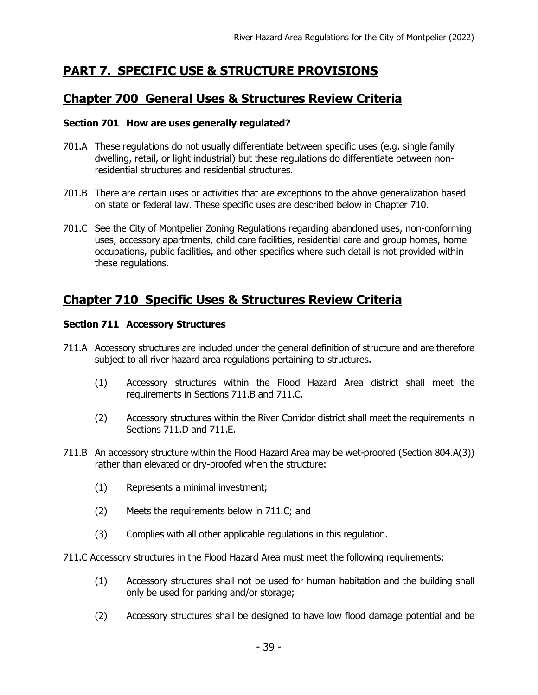# PART 7. SPECIFIC USE & STRUCTURE PROVISIONS

# Chapter 700 General Uses & Structures Review Criteria

## Section 701 How are uses generally regulated?

- 701.A These regulations do not usually differentiate between specific uses (e.g. single family dwelling, retail, or light industrial) but these regulations do differentiate between nonresidential structures and residential structures.
- 701.B There are certain uses or activities that are exceptions to the above generalization based on state or federal law. These specific uses are described below in Chapter 710.
- 701.C See the City of Montpelier Zoning Regulations regarding abandoned uses, non-conforming uses, accessory apartments, child care facilities, residential care and group homes, home occupations, public facilities, and other specifics where such detail is not provided within these regulations.

# Chapter 710 Specific Uses & Structures Review Criteria

## Section 711 Accessory Structures

- 711.A Accessory structures are included under the general definition of structure and are therefore subject to all river hazard area regulations pertaining to structures.
	- (1) Accessory structures within the Flood Hazard Area district shall meet the requirements in Sections 711.B and 711.C.
	- (2) Accessory structures within the River Corridor district shall meet the requirements in Sections 711.D and 711.E.
- 711.B An accessory structure within the Flood Hazard Area may be wet-proofed (Section 804.A(3)) rather than elevated or dry-proofed when the structure:
	- (1) Represents a minimal investment;
	- (2) Meets the requirements below in 711.C; and
	- (3) Complies with all other applicable regulations in this regulation.

711.C Accessory structures in the Flood Hazard Area must meet the following requirements:

- (1) Accessory structures shall not be used for human habitation and the building shall only be used for parking and/or storage;
- (2) Accessory structures shall be designed to have low flood damage potential and be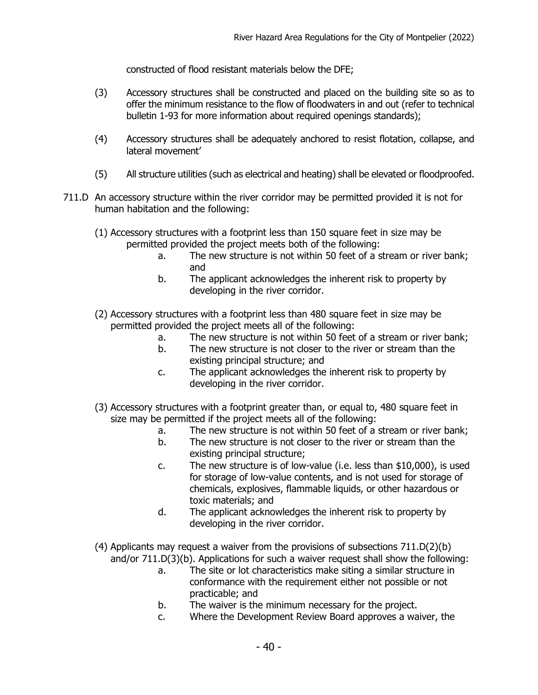constructed of flood resistant materials below the DFE;

- (3) Accessory structures shall be constructed and placed on the building site so as to offer the minimum resistance to the flow of floodwaters in and out (refer to technical bulletin 1-93 for more information about required openings standards);
- (4) Accessory structures shall be adequately anchored to resist flotation, collapse, and lateral movement'
- (5) All structure utilities (such as electrical and heating) shall be elevated or floodproofed.
- 711.D An accessory structure within the river corridor may be permitted provided it is not for human habitation and the following:
	- (1) Accessory structures with a footprint less than 150 square feet in size may be permitted provided the project meets both of the following:
		- a. The new structure is not within 50 feet of a stream or river bank; and
		- b. The applicant acknowledges the inherent risk to property by developing in the river corridor.
	- (2) Accessory structures with a footprint less than 480 square feet in size may be permitted provided the project meets all of the following:
		- a. The new structure is not within 50 feet of a stream or river bank;
		- b. The new structure is not closer to the river or stream than the existing principal structure; and
		- c. The applicant acknowledges the inherent risk to property by developing in the river corridor.
	- (3) Accessory structures with a footprint greater than, or equal to, 480 square feet in size may be permitted if the project meets all of the following:
		- a. The new structure is not within 50 feet of a stream or river bank;
		- b. The new structure is not closer to the river or stream than the existing principal structure;
		- c. The new structure is of low-value (i.e. less than \$10,000), is used for storage of low-value contents, and is not used for storage of chemicals, explosives, flammable liquids, or other hazardous or toxic materials; and
		- d. The applicant acknowledges the inherent risk to property by developing in the river corridor.
	- (4) Applicants may request a waiver from the provisions of subsections 711.D(2)(b) and/or 711.D(3)(b). Applications for such a waiver request shall show the following:
		- a. The site or lot characteristics make siting a similar structure in conformance with the requirement either not possible or not practicable; and
		- b. The waiver is the minimum necessary for the project.
		- c. Where the Development Review Board approves a waiver, the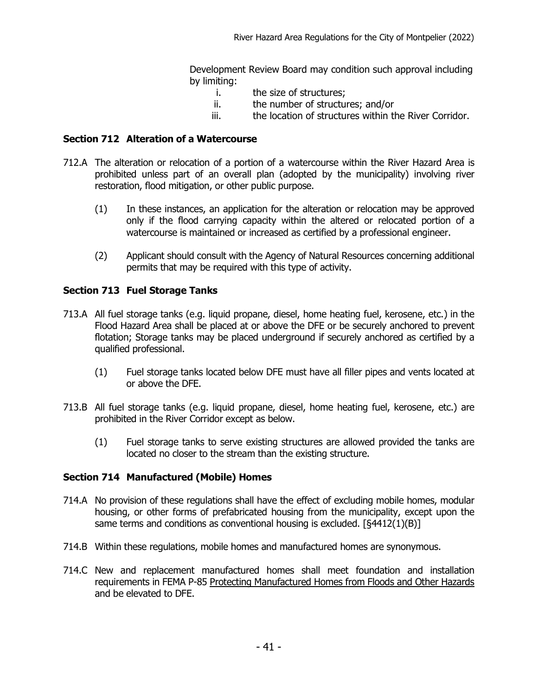Development Review Board may condition such approval including by limiting:

- i. the size of structures:
- ii. the number of structures; and/or
- iii. the location of structures within the River Corridor.

## Section 712 Alteration of a Watercourse

- 712.A The alteration or relocation of a portion of a watercourse within the River Hazard Area is prohibited unless part of an overall plan (adopted by the municipality) involving river restoration, flood mitigation, or other public purpose.
	- (1) In these instances, an application for the alteration or relocation may be approved only if the flood carrying capacity within the altered or relocated portion of a watercourse is maintained or increased as certified by a professional engineer.
	- (2) Applicant should consult with the Agency of Natural Resources concerning additional permits that may be required with this type of activity.

## Section 713 Fuel Storage Tanks

- 713.A All fuel storage tanks (e.g. liquid propane, diesel, home heating fuel, kerosene, etc.) in the Flood Hazard Area shall be placed at or above the DFE or be securely anchored to prevent flotation; Storage tanks may be placed underground if securely anchored as certified by a qualified professional.
	- (1) Fuel storage tanks located below DFE must have all filler pipes and vents located at or above the DFE.
- 713.B All fuel storage tanks (e.g. liquid propane, diesel, home heating fuel, kerosene, etc.) are prohibited in the River Corridor except as below.
	- (1) Fuel storage tanks to serve existing structures are allowed provided the tanks are located no closer to the stream than the existing structure.

# Section 714 Manufactured (Mobile) Homes

- 714.A No provision of these regulations shall have the effect of excluding mobile homes, modular housing, or other forms of prefabricated housing from the municipality, except upon the same terms and conditions as conventional housing is excluded. [§4412(1)(B)]
- 714.B Within these regulations, mobile homes and manufactured homes are synonymous.
- 714.C New and replacement manufactured homes shall meet foundation and installation requirements in FEMA P-85 Protecting Manufactured Homes from Floods and Other Hazards and be elevated to DFE.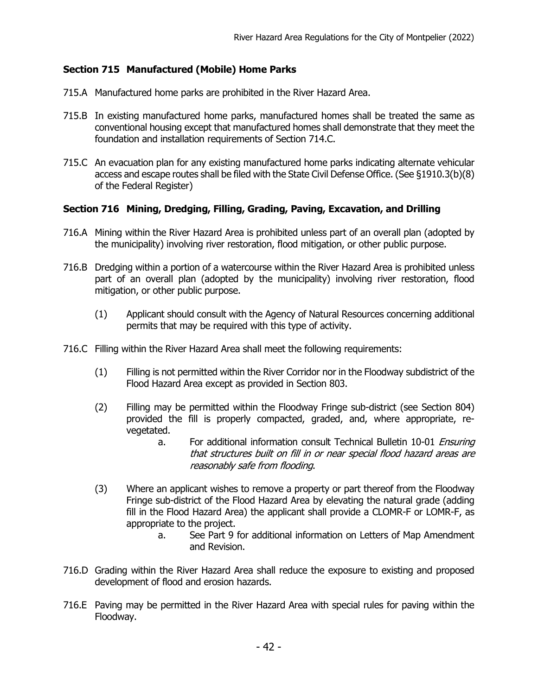# Section 715 Manufactured (Mobile) Home Parks

- 715.A Manufactured home parks are prohibited in the River Hazard Area.
- 715.B In existing manufactured home parks, manufactured homes shall be treated the same as conventional housing except that manufactured homes shall demonstrate that they meet the foundation and installation requirements of Section 714.C.
- 715.C An evacuation plan for any existing manufactured home parks indicating alternate vehicular access and escape routes shall be filed with the State Civil Defense Office. (See §1910.3(b)(8) of the Federal Register)

## Section 716 Mining, Dredging, Filling, Grading, Paving, Excavation, and Drilling

- 716.A Mining within the River Hazard Area is prohibited unless part of an overall plan (adopted by the municipality) involving river restoration, flood mitigation, or other public purpose.
- 716.B Dredging within a portion of a watercourse within the River Hazard Area is prohibited unless part of an overall plan (adopted by the municipality) involving river restoration, flood mitigation, or other public purpose.
	- (1) Applicant should consult with the Agency of Natural Resources concerning additional permits that may be required with this type of activity.
- 716.C Filling within the River Hazard Area shall meet the following requirements:
	- (1) Filling is not permitted within the River Corridor nor in the Floodway subdistrict of the Flood Hazard Area except as provided in Section 803.
	- (2) Filling may be permitted within the Floodway Fringe sub-district (see Section 804) provided the fill is properly compacted, graded, and, where appropriate, revegetated.
		- a. For additional information consult Technical Bulletin 10-01 Ensuring that structures built on fill in or near special flood hazard areas are reasonably safe from flooding.
	- (3) Where an applicant wishes to remove a property or part thereof from the Floodway Fringe sub-district of the Flood Hazard Area by elevating the natural grade (adding fill in the Flood Hazard Area) the applicant shall provide a CLOMR-F or LOMR-F, as appropriate to the project.
		- a. See Part 9 for additional information on Letters of Map Amendment and Revision.
- 716.D Grading within the River Hazard Area shall reduce the exposure to existing and proposed development of flood and erosion hazards.
- 716.E Paving may be permitted in the River Hazard Area with special rules for paving within the Floodway.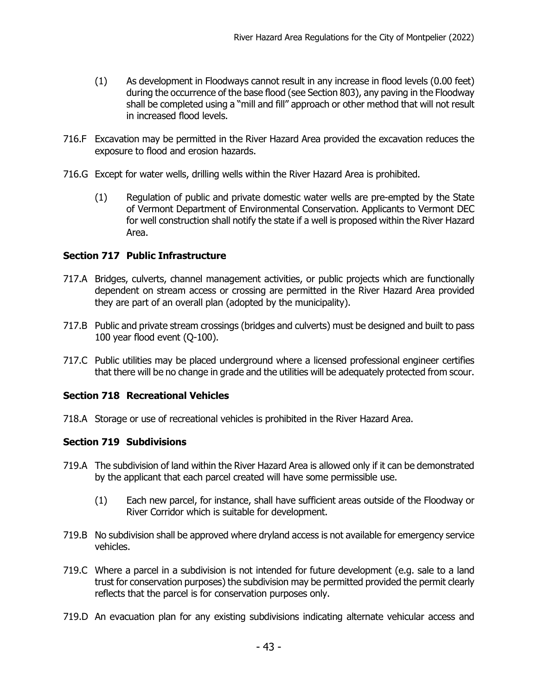- (1) As development in Floodways cannot result in any increase in flood levels (0.00 feet) during the occurrence of the base flood (see Section 803), any paving in the Floodway shall be completed using a "mill and fill" approach or other method that will not result in increased flood levels.
- 716.F Excavation may be permitted in the River Hazard Area provided the excavation reduces the exposure to flood and erosion hazards.
- 716.G Except for water wells, drilling wells within the River Hazard Area is prohibited.
	- (1) Regulation of public and private domestic water wells are pre-empted by the State of Vermont Department of Environmental Conservation. Applicants to Vermont DEC for well construction shall notify the state if a well is proposed within the River Hazard Area.

# Section 717 Public Infrastructure

- 717.A Bridges, culverts, channel management activities, or public projects which are functionally dependent on stream access or crossing are permitted in the River Hazard Area provided they are part of an overall plan (adopted by the municipality).
- 717.B Public and private stream crossings (bridges and culverts) must be designed and built to pass 100 year flood event (Q-100).
- 717.C Public utilities may be placed underground where a licensed professional engineer certifies that there will be no change in grade and the utilities will be adequately protected from scour.

# Section 718 Recreational Vehicles

718.A Storage or use of recreational vehicles is prohibited in the River Hazard Area.

# Section 719 Subdivisions

- 719.A The subdivision of land within the River Hazard Area is allowed only if it can be demonstrated by the applicant that each parcel created will have some permissible use.
	- (1) Each new parcel, for instance, shall have sufficient areas outside of the Floodway or River Corridor which is suitable for development.
- 719.B No subdivision shall be approved where dryland access is not available for emergency service vehicles.
- 719.C Where a parcel in a subdivision is not intended for future development (e.g. sale to a land trust for conservation purposes) the subdivision may be permitted provided the permit clearly reflects that the parcel is for conservation purposes only.
- 719.D An evacuation plan for any existing subdivisions indicating alternate vehicular access and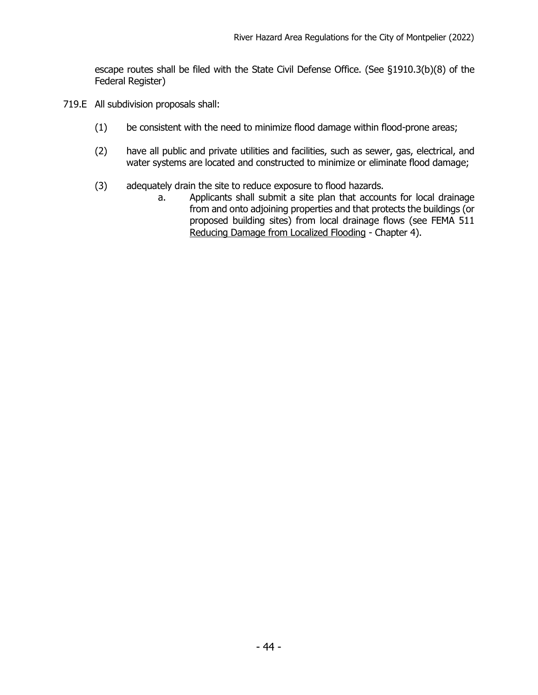escape routes shall be filed with the State Civil Defense Office. (See §1910.3(b)(8) of the Federal Register)

- 719.E All subdivision proposals shall:
	- (1) be consistent with the need to minimize flood damage within flood-prone areas;
	- (2) have all public and private utilities and facilities, such as sewer, gas, electrical, and water systems are located and constructed to minimize or eliminate flood damage;
	- (3) adequately drain the site to reduce exposure to flood hazards.
		- a. Applicants shall submit a site plan that accounts for local drainage from and onto adjoining properties and that protects the buildings (or proposed building sites) from local drainage flows (see FEMA 511 Reducing Damage from Localized Flooding - Chapter 4).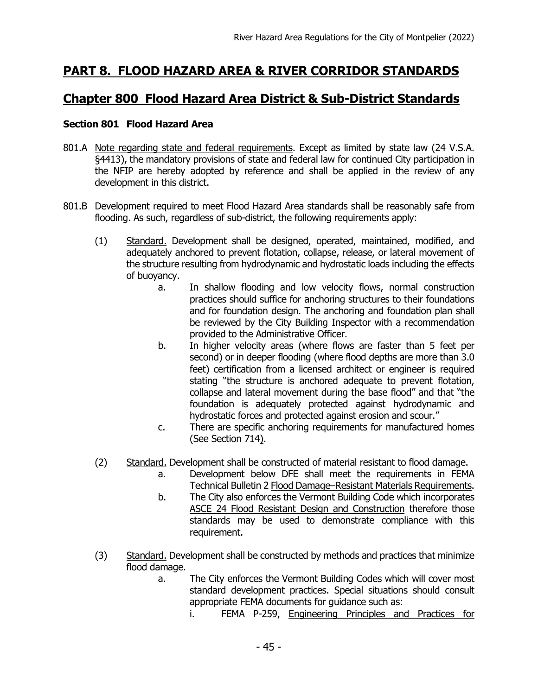# PART 8. FLOOD HAZARD AREA & RIVER CORRIDOR STANDARDS

# Chapter 800 Flood Hazard Area District & Sub-District Standards

## Section 801 Flood Hazard Area

- 801.A Note regarding state and federal requirements. Except as limited by state law (24 V.S.A. §4413), the mandatory provisions of state and federal law for continued City participation in the NFIP are hereby adopted by reference and shall be applied in the review of any development in this district.
- 801.B Development required to meet Flood Hazard Area standards shall be reasonably safe from flooding. As such, regardless of sub-district, the following requirements apply:
	- (1) Standard. Development shall be designed, operated, maintained, modified, and adequately anchored to prevent flotation, collapse, release, or lateral movement of the structure resulting from hydrodynamic and hydrostatic loads including the effects of buoyancy.
		- a. In shallow flooding and low velocity flows, normal construction practices should suffice for anchoring structures to their foundations and for foundation design. The anchoring and foundation plan shall be reviewed by the City Building Inspector with a recommendation provided to the Administrative Officer.
		- b. In higher velocity areas (where flows are faster than 5 feet per second) or in deeper flooding (where flood depths are more than 3.0 feet) certification from a licensed architect or engineer is required stating "the structure is anchored adequate to prevent flotation, collapse and lateral movement during the base flood" and that "the foundation is adequately protected against hydrodynamic and hydrostatic forces and protected against erosion and scour."
		- c. There are specific anchoring requirements for manufactured homes (See Section 714).
	- (2) Standard. Development shall be constructed of material resistant to flood damage.
		- a. Development below DFE shall meet the requirements in FEMA Technical Bulletin 2 Flood Damage–Resistant Materials Requirements.
		- b. The City also enforces the Vermont Building Code which incorporates ASCE 24 Flood Resistant Design and Construction therefore those standards may be used to demonstrate compliance with this requirement.
	- (3) Standard. Development shall be constructed by methods and practices that minimize flood damage.
		- a. The City enforces the Vermont Building Codes which will cover most standard development practices. Special situations should consult appropriate FEMA documents for guidance such as:
			- i. FEMA P-259, Engineering Principles and Practices for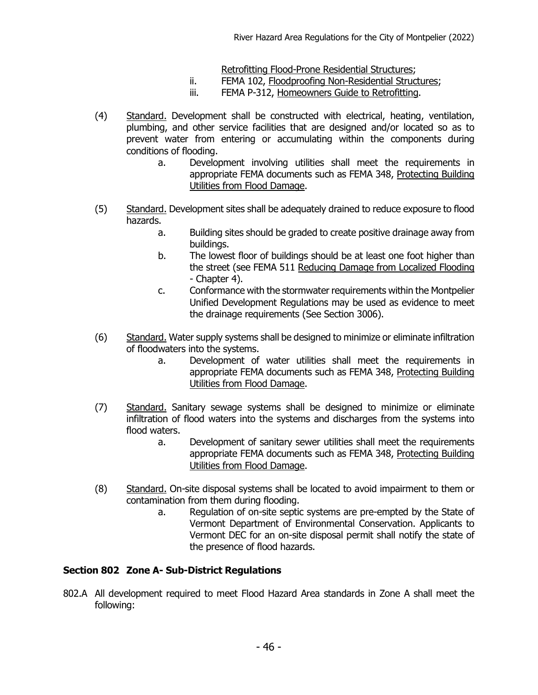Retrofitting Flood-Prone Residential Structures;

- ii. FEMA 102, Floodproofing Non-Residential Structures;
- iii. FEMA P-312, Homeowners Guide to Retrofitting.
- (4) Standard. Development shall be constructed with electrical, heating, ventilation, plumbing, and other service facilities that are designed and/or located so as to prevent water from entering or accumulating within the components during conditions of flooding.
	- a. Development involving utilities shall meet the requirements in appropriate FEMA documents such as FEMA 348, Protecting Building Utilities from Flood Damage.
- (5) Standard. Development sites shall be adequately drained to reduce exposure to flood hazards.
	- a. Building sites should be graded to create positive drainage away from buildings.
	- b. The lowest floor of buildings should be at least one foot higher than the street (see FEMA 511 Reducing Damage from Localized Flooding - Chapter 4).
	- c. Conformance with the stormwater requirements within the Montpelier Unified Development Regulations may be used as evidence to meet the drainage requirements (See Section 3006).
- (6) Standard. Water supply systems shall be designed to minimize or eliminate infiltration of floodwaters into the systems.
	- a. Development of water utilities shall meet the requirements in appropriate FEMA documents such as FEMA 348, Protecting Building Utilities from Flood Damage.
- (7) Standard. Sanitary sewage systems shall be designed to minimize or eliminate infiltration of flood waters into the systems and discharges from the systems into flood waters.
	- a. Development of sanitary sewer utilities shall meet the requirements appropriate FEMA documents such as FEMA 348, Protecting Building Utilities from Flood Damage.
- (8) Standard. On-site disposal systems shall be located to avoid impairment to them or contamination from them during flooding.
	- a. Regulation of on-site septic systems are pre-empted by the State of Vermont Department of Environmental Conservation. Applicants to Vermont DEC for an on-site disposal permit shall notify the state of the presence of flood hazards.

# Section 802 Zone A- Sub-District Regulations

802.A All development required to meet Flood Hazard Area standards in Zone A shall meet the following: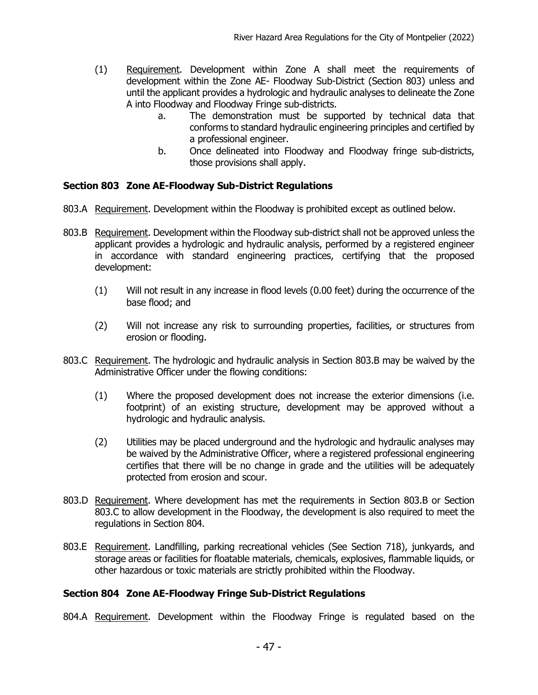- (1) Requirement. Development within Zone A shall meet the requirements of development within the Zone AE- Floodway Sub-District (Section 803) unless and until the applicant provides a hydrologic and hydraulic analyses to delineate the Zone A into Floodway and Floodway Fringe sub-districts.
	- a. The demonstration must be supported by technical data that conforms to standard hydraulic engineering principles and certified by a professional engineer.
	- b. Once delineated into Floodway and Floodway fringe sub-districts, those provisions shall apply.

# Section 803 Zone AE-Floodway Sub-District Regulations

- 803.A Requirement. Development within the Floodway is prohibited except as outlined below.
- 803.B Requirement. Development within the Floodway sub-district shall not be approved unless the applicant provides a hydrologic and hydraulic analysis, performed by a registered engineer in accordance with standard engineering practices, certifying that the proposed development:
	- (1) Will not result in any increase in flood levels (0.00 feet) during the occurrence of the base flood; and
	- (2) Will not increase any risk to surrounding properties, facilities, or structures from erosion or flooding.
- 803.C Requirement. The hydrologic and hydraulic analysis in Section 803.B may be waived by the Administrative Officer under the flowing conditions:
	- (1) Where the proposed development does not increase the exterior dimensions (i.e. footprint) of an existing structure, development may be approved without a hydrologic and hydraulic analysis.
	- (2) Utilities may be placed underground and the hydrologic and hydraulic analyses may be waived by the Administrative Officer, where a registered professional engineering certifies that there will be no change in grade and the utilities will be adequately protected from erosion and scour.
- 803.D Requirement. Where development has met the requirements in Section 803.B or Section 803.C to allow development in the Floodway, the development is also required to meet the regulations in Section 804.
- 803.E Requirement. Landfilling, parking recreational vehicles (See Section 718), junkyards, and storage areas or facilities for floatable materials, chemicals, explosives, flammable liquids, or other hazardous or toxic materials are strictly prohibited within the Floodway.

## Section 804 Zone AE-Floodway Fringe Sub-District Regulations

804.A Requirement. Development within the Floodway Fringe is regulated based on the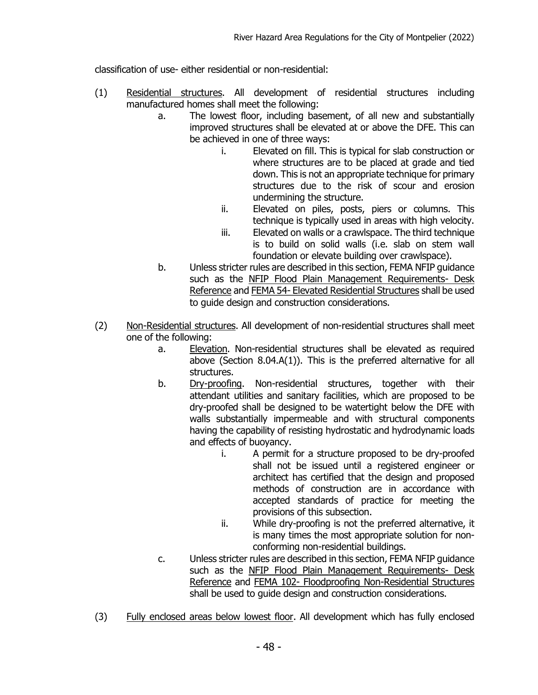classification of use- either residential or non-residential:

- (1) Residential structures. All development of residential structures including manufactured homes shall meet the following:
	- a. The lowest floor, including basement, of all new and substantially improved structures shall be elevated at or above the DFE. This can be achieved in one of three ways:
		- i. Elevated on fill. This is typical for slab construction or where structures are to be placed at grade and tied down. This is not an appropriate technique for primary structures due to the risk of scour and erosion undermining the structure.
		- ii. Elevated on piles, posts, piers or columns. This technique is typically used in areas with high velocity.
		- iii. Elevated on walls or a crawlspace. The third technique is to build on solid walls (i.e. slab on stem wall foundation or elevate building over crawlspace).
	- b. Unless stricter rules are described in this section, FEMA NFIP guidance such as the NFIP Flood Plain Management Requirements- Desk Reference and FEMA 54- Elevated Residential Structures shall be used to guide design and construction considerations.
- (2) Non-Residential structures. All development of non-residential structures shall meet one of the following:
	- a. Elevation. Non-residential structures shall be elevated as required above (Section 8.04.A(1)). This is the preferred alternative for all structures.
	- b. Dry-proofing. Non-residential structures, together with their attendant utilities and sanitary facilities, which are proposed to be dry-proofed shall be designed to be watertight below the DFE with walls substantially impermeable and with structural components having the capability of resisting hydrostatic and hydrodynamic loads and effects of buoyancy.
		- i. A permit for a structure proposed to be dry-proofed shall not be issued until a registered engineer or architect has certified that the design and proposed methods of construction are in accordance with accepted standards of practice for meeting the provisions of this subsection.
		- ii. While dry-proofing is not the preferred alternative, it is many times the most appropriate solution for nonconforming non-residential buildings.
	- c. Unless stricter rules are described in this section, FEMA NFIP guidance such as the NFIP Flood Plain Management Requirements- Desk Reference and FEMA 102- Floodproofing Non-Residential Structures shall be used to guide design and construction considerations.
- (3) Fully enclosed areas below lowest floor. All development which has fully enclosed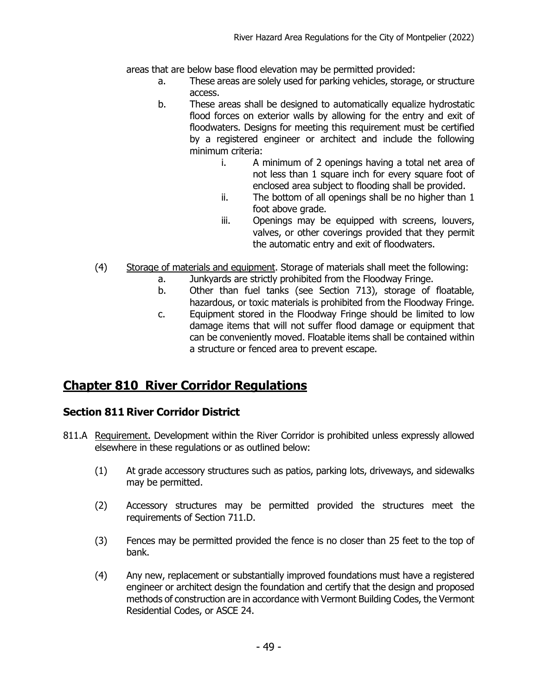areas that are below base flood elevation may be permitted provided:

- a. These areas are solely used for parking vehicles, storage, or structure access.
- b. These areas shall be designed to automatically equalize hydrostatic flood forces on exterior walls by allowing for the entry and exit of floodwaters. Designs for meeting this requirement must be certified by a registered engineer or architect and include the following minimum criteria:
	- i. A minimum of 2 openings having a total net area of not less than 1 square inch for every square foot of enclosed area subject to flooding shall be provided.
	- ii. The bottom of all openings shall be no higher than 1 foot above grade.
	- iii. Openings may be equipped with screens, louvers, valves, or other coverings provided that they permit the automatic entry and exit of floodwaters.
- (4) Storage of materials and equipment. Storage of materials shall meet the following:
	- a. Junkyards are strictly prohibited from the Floodway Fringe.
	- b. Other than fuel tanks (see Section 713), storage of floatable, hazardous, or toxic materials is prohibited from the Floodway Fringe.
	- c. Equipment stored in the Floodway Fringe should be limited to low damage items that will not suffer flood damage or equipment that can be conveniently moved. Floatable items shall be contained within a structure or fenced area to prevent escape.

# Chapter 810 River Corridor Regulations

# Section 811 River Corridor District

- 811.A Requirement. Development within the River Corridor is prohibited unless expressly allowed elsewhere in these regulations or as outlined below:
	- (1) At grade accessory structures such as patios, parking lots, driveways, and sidewalks may be permitted.
	- (2) Accessory structures may be permitted provided the structures meet the requirements of Section 711.D.
	- (3) Fences may be permitted provided the fence is no closer than 25 feet to the top of bank.
	- (4) Any new, replacement or substantially improved foundations must have a registered engineer or architect design the foundation and certify that the design and proposed methods of construction are in accordance with Vermont Building Codes, the Vermont Residential Codes, or ASCE 24.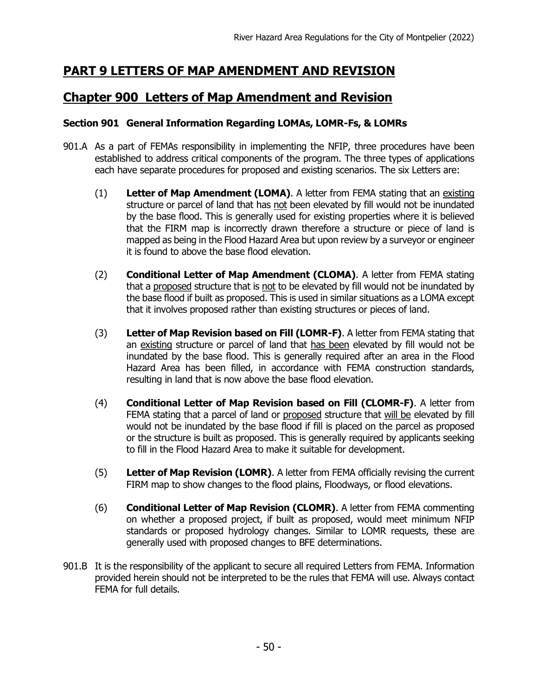# PART 9 LETTERS OF MAP AMENDMENT AND REVISION

# Chapter 900 Letters of Map Amendment and Revision

# Section 901 General Information Regarding LOMAs, LOMR-Fs, & LOMRs

- 901.A As a part of FEMAs responsibility in implementing the NFIP, three procedures have been established to address critical components of the program. The three types of applications each have separate procedures for proposed and existing scenarios. The six Letters are:
	- $(1)$  Letter of Map Amendment (LOMA). A letter from FEMA stating that an existing structure or parcel of land that has not been elevated by fill would not be inundated by the base flood. This is generally used for existing properties where it is believed that the FIRM map is incorrectly drawn therefore a structure or piece of land is mapped as being in the Flood Hazard Area but upon review by a surveyor or engineer it is found to above the base flood elevation.
	- (2) Conditional Letter of Map Amendment (CLOMA). A letter from FEMA stating that a proposed structure that is not to be elevated by fill would not be inundated by the base flood if built as proposed. This is used in similar situations as a LOMA except that it involves proposed rather than existing structures or pieces of land.
	- (3) Letter of Map Revision based on Fill (LOMR-F). A letter from FEMA stating that an existing structure or parcel of land that has been elevated by fill would not be inundated by the base flood. This is generally required after an area in the Flood Hazard Area has been filled, in accordance with FEMA construction standards, resulting in land that is now above the base flood elevation.
	- (4) Conditional Letter of Map Revision based on Fill (CLOMR-F). A letter from FEMA stating that a parcel of land or proposed structure that will be elevated by fill would not be inundated by the base flood if fill is placed on the parcel as proposed or the structure is built as proposed. This is generally required by applicants seeking to fill in the Flood Hazard Area to make it suitable for development.
	- (5) Letter of Map Revision (LOMR). A letter from FEMA officially revising the current FIRM map to show changes to the flood plains, Floodways, or flood elevations.
	- (6) Conditional Letter of Map Revision (CLOMR). A letter from FEMA commenting on whether a proposed project, if built as proposed, would meet minimum NFIP standards or proposed hydrology changes. Similar to LOMR requests, these are generally used with proposed changes to BFE determinations.
- 901.B It is the responsibility of the applicant to secure all required Letters from FEMA. Information provided herein should not be interpreted to be the rules that FEMA will use. Always contact FEMA for full details.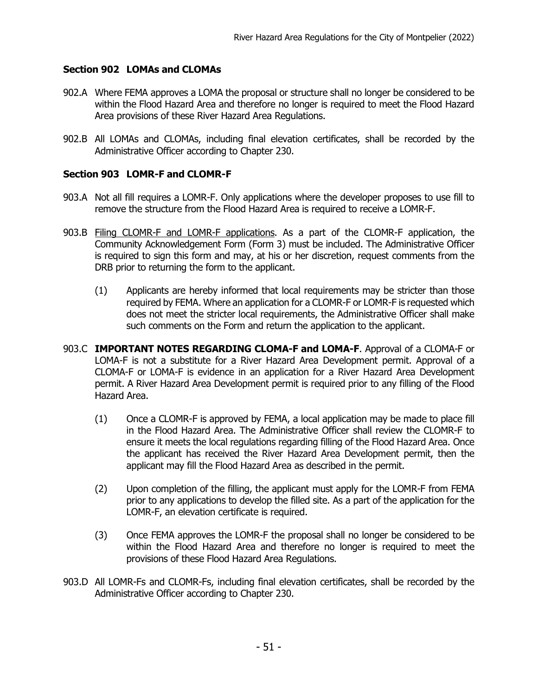## Section 902 LOMAs and CLOMAs

- 902.A Where FEMA approves a LOMA the proposal or structure shall no longer be considered to be within the Flood Hazard Area and therefore no longer is required to meet the Flood Hazard Area provisions of these River Hazard Area Regulations.
- 902.B All LOMAs and CLOMAs, including final elevation certificates, shall be recorded by the Administrative Officer according to Chapter 230.

## Section 903 LOMR-F and CLOMR-F

- 903.A Not all fill requires a LOMR-F. Only applications where the developer proposes to use fill to remove the structure from the Flood Hazard Area is required to receive a LOMR-F.
- 903.B Filing CLOMR-F and LOMR-F applications. As a part of the CLOMR-F application, the Community Acknowledgement Form (Form 3) must be included. The Administrative Officer is required to sign this form and may, at his or her discretion, request comments from the DRB prior to returning the form to the applicant.
	- (1) Applicants are hereby informed that local requirements may be stricter than those required by FEMA. Where an application for a CLOMR-F or LOMR-F is requested which does not meet the stricter local requirements, the Administrative Officer shall make such comments on the Form and return the application to the applicant.
- 903.C **IMPORTANT NOTES REGARDING CLOMA-F and LOMA-F**. Approval of a CLOMA-F or LOMA-F is not a substitute for a River Hazard Area Development permit. Approval of a CLOMA-F or LOMA-F is evidence in an application for a River Hazard Area Development permit. A River Hazard Area Development permit is required prior to any filling of the Flood Hazard Area.
	- (1) Once a CLOMR-F is approved by FEMA, a local application may be made to place fill in the Flood Hazard Area. The Administrative Officer shall review the CLOMR-F to ensure it meets the local regulations regarding filling of the Flood Hazard Area. Once the applicant has received the River Hazard Area Development permit, then the applicant may fill the Flood Hazard Area as described in the permit.
	- (2) Upon completion of the filling, the applicant must apply for the LOMR-F from FEMA prior to any applications to develop the filled site. As a part of the application for the LOMR-F, an elevation certificate is required.
	- (3) Once FEMA approves the LOMR-F the proposal shall no longer be considered to be within the Flood Hazard Area and therefore no longer is required to meet the provisions of these Flood Hazard Area Regulations.
- 903.D All LOMR-Fs and CLOMR-Fs, including final elevation certificates, shall be recorded by the Administrative Officer according to Chapter 230.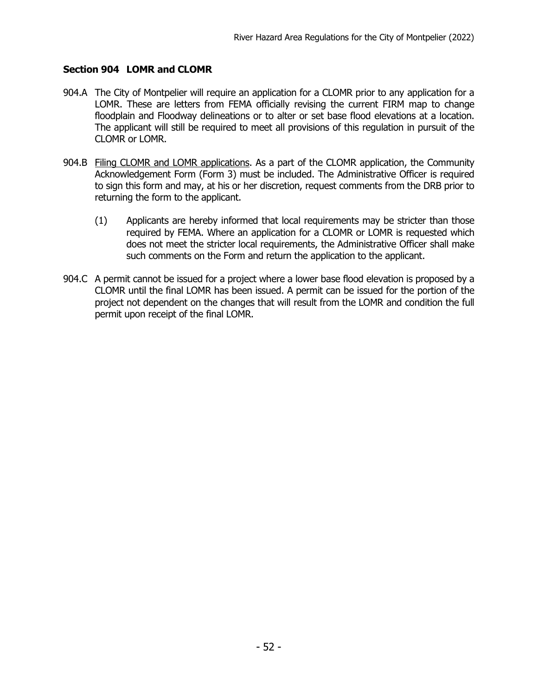## Section 904 LOMR and CLOMR

- 904.A The City of Montpelier will require an application for a CLOMR prior to any application for a LOMR. These are letters from FEMA officially revising the current FIRM map to change floodplain and Floodway delineations or to alter or set base flood elevations at a location. The applicant will still be required to meet all provisions of this regulation in pursuit of the CLOMR or LOMR.
- 904.B Filing CLOMR and LOMR applications. As a part of the CLOMR application, the Community Acknowledgement Form (Form 3) must be included. The Administrative Officer is required to sign this form and may, at his or her discretion, request comments from the DRB prior to returning the form to the applicant.
	- (1) Applicants are hereby informed that local requirements may be stricter than those required by FEMA. Where an application for a CLOMR or LOMR is requested which does not meet the stricter local requirements, the Administrative Officer shall make such comments on the Form and return the application to the applicant.
- 904.C A permit cannot be issued for a project where a lower base flood elevation is proposed by a CLOMR until the final LOMR has been issued. A permit can be issued for the portion of the project not dependent on the changes that will result from the LOMR and condition the full permit upon receipt of the final LOMR.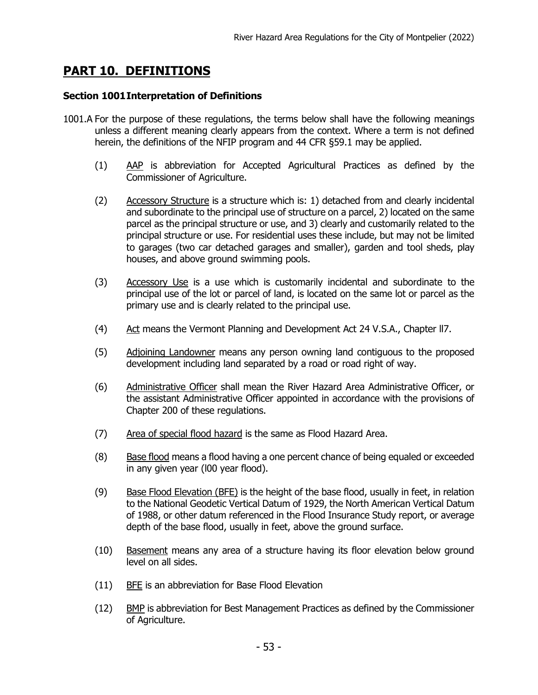# PART 10. DEFINITIONS

## Section 1001 Interpretation of Definitions

- 1001.A For the purpose of these regulations, the terms below shall have the following meanings unless a different meaning clearly appears from the context. Where a term is not defined herein, the definitions of the NFIP program and 44 CFR §59.1 may be applied.
	- (1) AAP is abbreviation for Accepted Agricultural Practices as defined by the Commissioner of Agriculture.
	- (2) Accessory Structure is a structure which is: 1) detached from and clearly incidental and subordinate to the principal use of structure on a parcel, 2) located on the same parcel as the principal structure or use, and 3) clearly and customarily related to the principal structure or use. For residential uses these include, but may not be limited to garages (two car detached garages and smaller), garden and tool sheds, play houses, and above ground swimming pools.
	- (3) Accessory Use is a use which is customarily incidental and subordinate to the principal use of the lot or parcel of land, is located on the same lot or parcel as the primary use and is clearly related to the principal use.
	- (4) Act means the Vermont Planning and Development Act 24 V.S.A., Chapter II7.
	- (5) Adjoining Landowner means any person owning land contiguous to the proposed development including land separated by a road or road right of way.
	- (6) Administrative Officer shall mean the River Hazard Area Administrative Officer, or the assistant Administrative Officer appointed in accordance with the provisions of Chapter 200 of these regulations.
	- (7) Area of special flood hazard is the same as Flood Hazard Area.
	- (8) Base flood means a flood having a one percent chance of being equaled or exceeded in any given year (l00 year flood).
	- (9) Base Flood Elevation (BFE) is the height of the base flood, usually in feet, in relation to the National Geodetic Vertical Datum of 1929, the North American Vertical Datum of 1988, or other datum referenced in the Flood Insurance Study report, or average depth of the base flood, usually in feet, above the ground surface.
	- (10) Basement means any area of a structure having its floor elevation below ground level on all sides.
	- (11) BFE is an abbreviation for Base Flood Elevation
	- (12) BMP is abbreviation for Best Management Practices as defined by the Commissioner of Agriculture.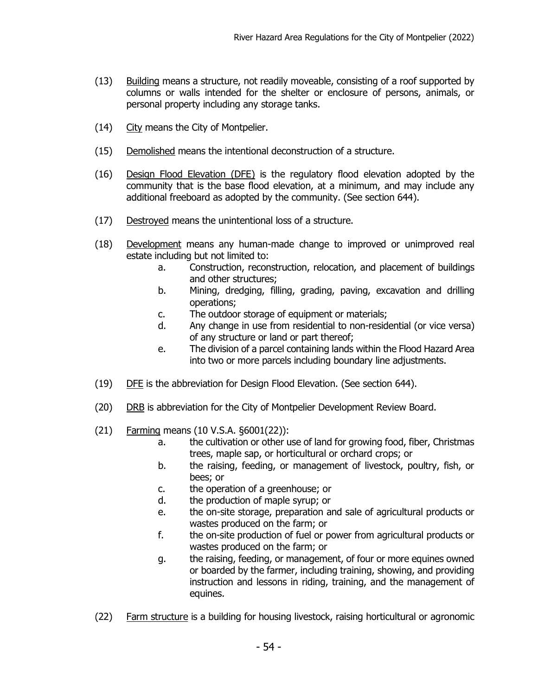- (13) Building means a structure, not readily moveable, consisting of a roof supported by columns or walls intended for the shelter or enclosure of persons, animals, or personal property including any storage tanks.
- (14) City means the City of Montpelier.
- (15) Demolished means the intentional deconstruction of a structure.
- (16) Design Flood Elevation (DFE) is the regulatory flood elevation adopted by the community that is the base flood elevation, at a minimum, and may include any additional freeboard as adopted by the community. (See section 644).
- (17) Destroyed means the unintentional loss of a structure.
- (18) Development means any human-made change to improved or unimproved real estate including but not limited to:
	- a. Construction, reconstruction, relocation, and placement of buildings and other structures;
	- b. Mining, dredging, filling, grading, paving, excavation and drilling operations;
	- c. The outdoor storage of equipment or materials;
	- d. Any change in use from residential to non-residential (or vice versa) of any structure or land or part thereof;
	- e. The division of a parcel containing lands within the Flood Hazard Area into two or more parcels including boundary line adjustments.
- (19) DFE is the abbreviation for Design Flood Elevation. (See section 644).
- (20) DRB is abbreviation for the City of Montpelier Development Review Board.
- (21) Farming means (10 V.S.A. §6001(22)):
	- a. the cultivation or other use of land for growing food, fiber, Christmas trees, maple sap, or horticultural or orchard crops; or
	- b. the raising, feeding, or management of livestock, poultry, fish, or bees; or
	- c. the operation of a greenhouse; or
	- d. the production of maple syrup; or
	- e. the on-site storage, preparation and sale of agricultural products or wastes produced on the farm; or
	- f. the on-site production of fuel or power from agricultural products or wastes produced on the farm; or
	- g. the raising, feeding, or management, of four or more equines owned or boarded by the farmer, including training, showing, and providing instruction and lessons in riding, training, and the management of equines.
- (22) Farm structure is a building for housing livestock, raising horticultural or agronomic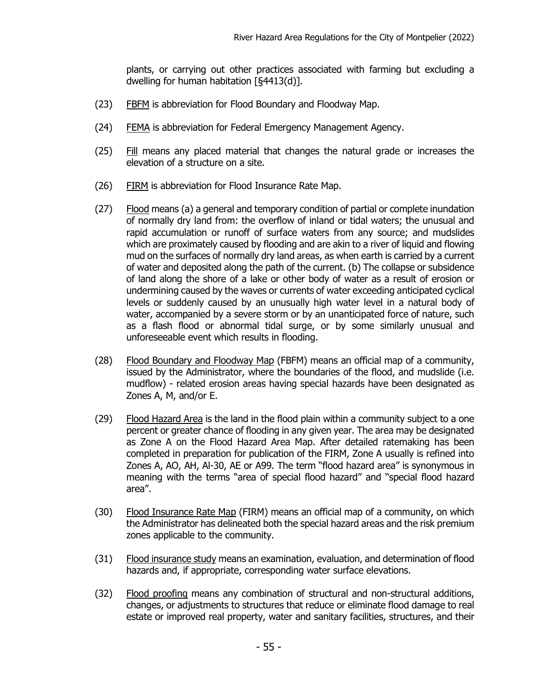plants, or carrying out other practices associated with farming but excluding a dwelling for human habitation [§4413(d)].

- (23) FBFM is abbreviation for Flood Boundary and Floodway Map.
- (24) FEMA is abbreviation for Federal Emergency Management Agency.
- (25) Fill means any placed material that changes the natural grade or increases the elevation of a structure on a site.
- (26) FIRM is abbreviation for Flood Insurance Rate Map.
- (27) Flood means (a) a general and temporary condition of partial or complete inundation of normally dry land from: the overflow of inland or tidal waters; the unusual and rapid accumulation or runoff of surface waters from any source; and mudslides which are proximately caused by flooding and are akin to a river of liquid and flowing mud on the surfaces of normally dry land areas, as when earth is carried by a current of water and deposited along the path of the current. (b) The collapse or subsidence of land along the shore of a lake or other body of water as a result of erosion or undermining caused by the waves or currents of water exceeding anticipated cyclical levels or suddenly caused by an unusually high water level in a natural body of water, accompanied by a severe storm or by an unanticipated force of nature, such as a flash flood or abnormal tidal surge, or by some similarly unusual and unforeseeable event which results in flooding.
- (28) Flood Boundary and Floodway Map (FBFM) means an official map of a community, issued by the Administrator, where the boundaries of the flood, and mudslide (i.e. mudflow) - related erosion areas having special hazards have been designated as Zones A, M, and/or E.
- (29) Flood Hazard Area is the land in the flood plain within a community subject to a one percent or greater chance of flooding in any given year. The area may be designated as Zone A on the Flood Hazard Area Map. After detailed ratemaking has been completed in preparation for publication of the FIRM, Zone A usually is refined into Zones A, AO, AH, Al-30, AE or A99. The term "flood hazard area" is synonymous in meaning with the terms "area of special flood hazard" and "special flood hazard area".
- (30) Flood Insurance Rate Map (FIRM) means an official map of a community, on which the Administrator has delineated both the special hazard areas and the risk premium zones applicable to the community.
- (31) Flood insurance study means an examination, evaluation, and determination of flood hazards and, if appropriate, corresponding water surface elevations.
- (32) Flood proofing means any combination of structural and non-structural additions, changes, or adjustments to structures that reduce or eliminate flood damage to real estate or improved real property, water and sanitary facilities, structures, and their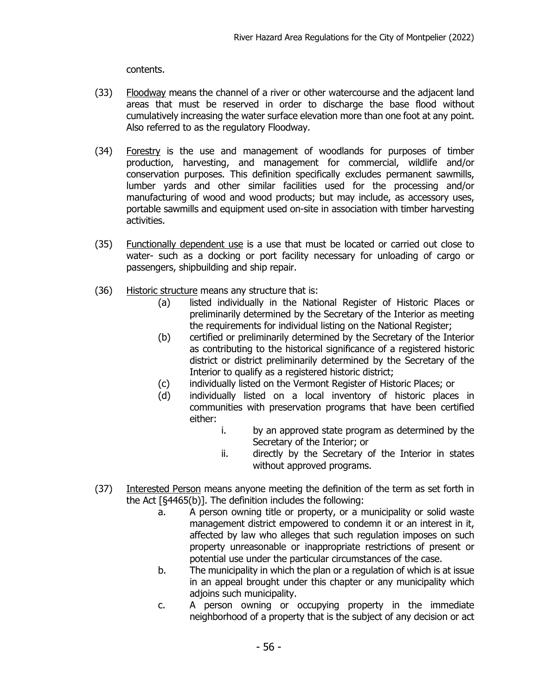contents.

- (33) Floodway means the channel of a river or other watercourse and the adjacent land areas that must be reserved in order to discharge the base flood without cumulatively increasing the water surface elevation more than one foot at any point. Also referred to as the regulatory Floodway.
- (34) Forestry is the use and management of woodlands for purposes of timber production, harvesting, and management for commercial, wildlife and/or conservation purposes. This definition specifically excludes permanent sawmills, lumber yards and other similar facilities used for the processing and/or manufacturing of wood and wood products; but may include, as accessory uses, portable sawmills and equipment used on-site in association with timber harvesting activities.
- (35) Functionally dependent use is a use that must be located or carried out close to water- such as a docking or port facility necessary for unloading of cargo or passengers, shipbuilding and ship repair.
- (36) Historic structure means any structure that is:
	- (a) listed individually in the National Register of Historic Places or preliminarily determined by the Secretary of the Interior as meeting the requirements for individual listing on the National Register;
	- (b) certified or preliminarily determined by the Secretary of the Interior as contributing to the historical significance of a registered historic district or district preliminarily determined by the Secretary of the Interior to qualify as a registered historic district;
	- (c) individually listed on the Vermont Register of Historic Places; or
	- (d) individually listed on a local inventory of historic places in communities with preservation programs that have been certified either:
		- i. by an approved state program as determined by the Secretary of the Interior; or
		- ii. directly by the Secretary of the Interior in states without approved programs.
- (37) Interested Person means anyone meeting the definition of the term as set forth in the Act [§4465(b)]. The definition includes the following:
	- a. A person owning title or property, or a municipality or solid waste management district empowered to condemn it or an interest in it, affected by law who alleges that such regulation imposes on such property unreasonable or inappropriate restrictions of present or potential use under the particular circumstances of the case.
	- b. The municipality in which the plan or a regulation of which is at issue in an appeal brought under this chapter or any municipality which adjoins such municipality.
	- c. A person owning or occupying property in the immediate neighborhood of a property that is the subject of any decision or act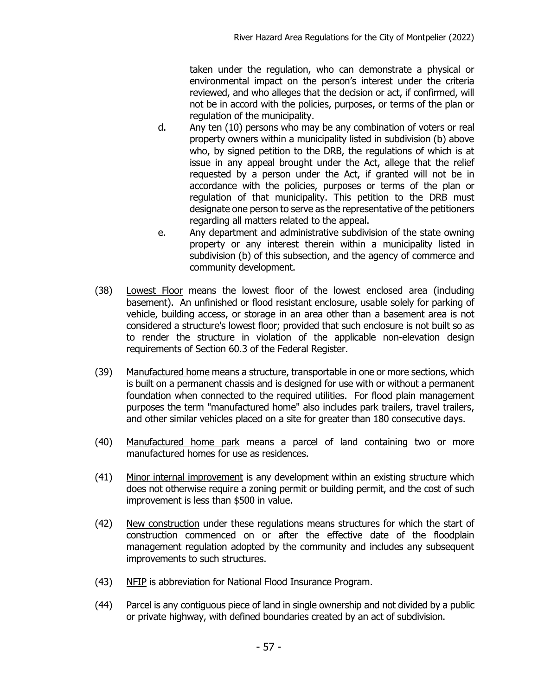taken under the regulation, who can demonstrate a physical or environmental impact on the person's interest under the criteria reviewed, and who alleges that the decision or act, if confirmed, will not be in accord with the policies, purposes, or terms of the plan or regulation of the municipality.

- d. Any ten (10) persons who may be any combination of voters or real property owners within a municipality listed in subdivision (b) above who, by signed petition to the DRB, the regulations of which is at issue in any appeal brought under the Act, allege that the relief requested by a person under the Act, if granted will not be in accordance with the policies, purposes or terms of the plan or regulation of that municipality. This petition to the DRB must designate one person to serve as the representative of the petitioners regarding all matters related to the appeal.
- e. Any department and administrative subdivision of the state owning property or any interest therein within a municipality listed in subdivision (b) of this subsection, and the agency of commerce and community development.
- (38) Lowest Floor means the lowest floor of the lowest enclosed area (including basement). An unfinished or flood resistant enclosure, usable solely for parking of vehicle, building access, or storage in an area other than a basement area is not considered a structure's lowest floor; provided that such enclosure is not built so as to render the structure in violation of the applicable non-elevation design requirements of Section 60.3 of the Federal Register.
- (39) Manufactured home means a structure, transportable in one or more sections, which is built on a permanent chassis and is designed for use with or without a permanent foundation when connected to the required utilities. For flood plain management purposes the term "manufactured home" also includes park trailers, travel trailers, and other similar vehicles placed on a site for greater than 180 consecutive days.
- (40) Manufactured home park means a parcel of land containing two or more manufactured homes for use as residences.
- (41) Minor internal improvement is any development within an existing structure which does not otherwise require a zoning permit or building permit, and the cost of such improvement is less than \$500 in value.
- (42) New construction under these regulations means structures for which the start of construction commenced on or after the effective date of the floodplain management regulation adopted by the community and includes any subsequent improvements to such structures.
- (43) NFIP is abbreviation for National Flood Insurance Program.
- (44) Parcel is any contiguous piece of land in single ownership and not divided by a public or private highway, with defined boundaries created by an act of subdivision.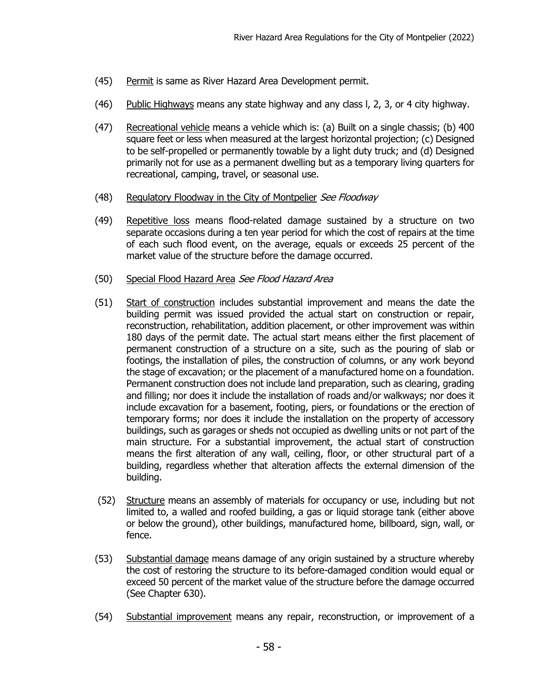- (45) Permit is same as River Hazard Area Development permit.
- (46) Public Highways means any state highway and any class l, 2, 3, or 4 city highway.
- (47) Recreational vehicle means a vehicle which is: (a) Built on a single chassis; (b) 400 square feet or less when measured at the largest horizontal projection; (c) Designed to be self-propelled or permanently towable by a light duty truck; and (d) Designed primarily not for use as a permanent dwelling but as a temporary living quarters for recreational, camping, travel, or seasonal use.
- (48) Regulatory Floodway in the City of Montpelier See Floodway
- (49) Repetitive loss means flood-related damage sustained by a structure on two separate occasions during a ten year period for which the cost of repairs at the time of each such flood event, on the average, equals or exceeds 25 percent of the market value of the structure before the damage occurred.
- (50) Special Flood Hazard Area See Flood Hazard Area
- (51) Start of construction includes substantial improvement and means the date the building permit was issued provided the actual start on construction or repair, reconstruction, rehabilitation, addition placement, or other improvement was within 180 days of the permit date. The actual start means either the first placement of permanent construction of a structure on a site, such as the pouring of slab or footings, the installation of piles, the construction of columns, or any work beyond the stage of excavation; or the placement of a manufactured home on a foundation. Permanent construction does not include land preparation, such as clearing, grading and filling; nor does it include the installation of roads and/or walkways; nor does it include excavation for a basement, footing, piers, or foundations or the erection of temporary forms; nor does it include the installation on the property of accessory buildings, such as garages or sheds not occupied as dwelling units or not part of the main structure. For a substantial improvement, the actual start of construction means the first alteration of any wall, ceiling, floor, or other structural part of a building, regardless whether that alteration affects the external dimension of the building.
- (52) Structure means an assembly of materials for occupancy or use, including but not limited to, a walled and roofed building, a gas or liquid storage tank (either above or below the ground), other buildings, manufactured home, billboard, sign, wall, or fence.
- (53) Substantial damage means damage of any origin sustained by a structure whereby the cost of restoring the structure to its before-damaged condition would equal or exceed 50 percent of the market value of the structure before the damage occurred (See Chapter 630).
- (54) Substantial improvement means any repair, reconstruction, or improvement of a